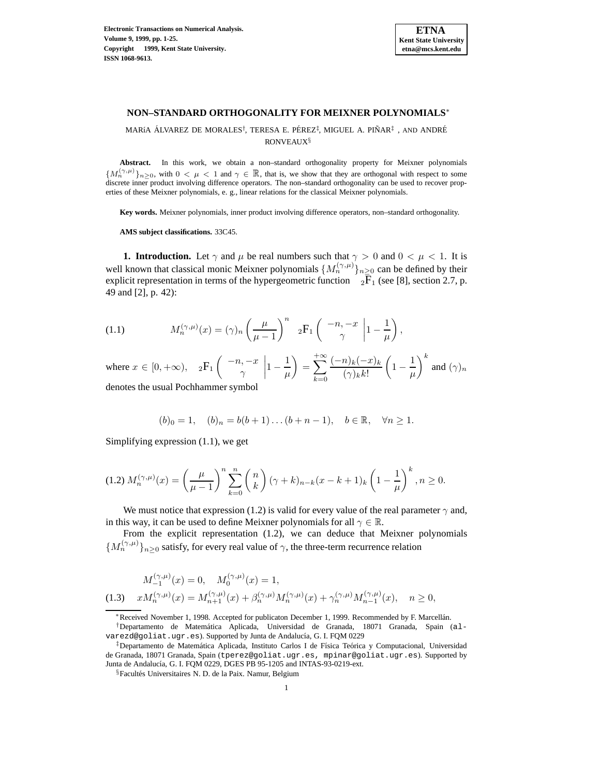

# **NON–STANDARD ORTHOGONALITY FOR MEIXNER POLYNOMIALS**<sup>∗</sup>

MARíA ÁLVAREZ DE MORALES<sup>†</sup>, TERESA E. PÉREZ<sup>‡</sup>, MIGUEL A. PIÑAR<sup>‡</sup>, AND ANDRÉ RONVEAUX§

**Abstract.** In this work, we obtain a non–standard orthogonality property for Meixner polynomials  ${M_n^{(\gamma,\mu)}}_{n>0}$ , with  $0 < \mu < 1$  and  $\gamma \in \mathbb{R}$ , that is, we show that they are orthogonal with respect to some discrete inner product involving difference operators. The non–standard orthogonality can be used to recover properties of these Meixner polynomials, e. g., linear relations for the classical Meixner polynomials.

**Key words.** Meixner polynomials, inner product involving difference operators, non–standard orthogonality.

**AMS subject classifications.** 33C45.

**1. Introduction.** Let  $\gamma$  and  $\mu$  be real numbers such that  $\gamma > 0$  and  $0 < \mu < 1$ . It is well known that classical monic Meixner polynomials  $\{M_n^{(\gamma,\mu)}\}_{n\geq 0}$  can be defined by their explicit representation in terms of the hypergeometric function  $2\bar{F}_1$  (see [8], section 2.7, p. 49 and [2], p. 42):

(1.1) 
$$
M_n^{(\gamma,\mu)}(x) = (\gamma)_n \left(\frac{\mu}{\mu-1}\right)^n \; _2F_1\left(\begin{array}{c} -n, -x \\ \gamma \end{array} \bigg| 1 - \frac{1}{\mu}\right),
$$

where  $x \in [0, +\infty)$ ,  ${}_2F_1$   $\begin{pmatrix} -n, -x \\ x \end{pmatrix}$  $\gamma$  $\begin{array}{c} \begin{array}{c} \begin{array}{c} \end{array} \\ \begin{array}{c} \end{array} \end{array} \end{array}$  $1-\frac{1}{\mu}$  $=\sum_{i=1}^{+\infty}$  $+\infty$  $_{k=0}$  $(-n)_k(-x)_k$  $(\gamma)_k k!$  $\left(1-\frac{1}{\mu}\right)$  $\bigg\}^k$  and  $(\gamma)_n$ denotes the usual Pochhammer symbol

$$
(b)_0 = 1, \quad (b)_n = b(b+1)\dots(b+n-1), \quad b \in \mathbb{R}, \quad \forall n \ge 1.
$$

Simplifying expression (1.1), we get

$$
(1.2) M_n^{(\gamma,\mu)}(x) = \left(\frac{\mu}{\mu-1}\right)^n \sum_{k=0}^n \binom{n}{k} \left(\gamma+k\right)_{n-k} (x-k+1)_k \left(1-\frac{1}{\mu}\right)^k, n \ge 0.
$$

We must notice that expression (1.2) is valid for every value of the real parameter  $\gamma$  and, in this way, it can be used to define Meixner polynomials for all  $\gamma \in \mathbb{R}$ .

From the explicit representation (1.2), we can deduce that Meixner polynomials  $\{M_n^{(\gamma,\mu)}\}_{n\geq 0}$  satisfy, for every real value of  $\gamma$ , the three-term recurrence relation

$$
M_{-1}^{(\gamma,\mu)}(x) = 0, \quad M_0^{(\gamma,\mu)}(x) = 1,
$$
  
(1.3) 
$$
xM_n^{(\gamma,\mu)}(x) = M_{n+1}^{(\gamma,\mu)}(x) + \beta_n^{(\gamma,\mu)}M_n^{(\gamma,\mu)}(x) + \gamma_n^{(\gamma,\mu)}M_{n-1}^{(\gamma,\mu)}(x), \quad n \ge 0,
$$

∗Received November 1, 1998. Accepted for publicaton December 1, 1999. Recommended by F. Marcell´an.

<sup>†</sup>Departamento de Matem´atica Aplicada, Universidad de Granada, 18071 Granada, Spain (alvarezd@goliat.ugr.es). Supported by Junta de Andalucía, G. I. FQM 0229

<sup>&</sup>lt;sup>‡</sup>Departamento de Matemática Aplicada, Instituto Carlos I de Física Teórica y Computacional, Universidad de Granada, 18071 Granada, Spain (tperez@goliat.ugr.es, mpinar@goliat.ugr.es). Supported by Junta de Andalucía, G. I. FQM 0229, DGES PB 95-1205 and INTAS-93-0219-ext.

<sup>&</sup>lt;sup>§</sup>Facultés Universitaires N. D. de la Paix. Namur, Belgium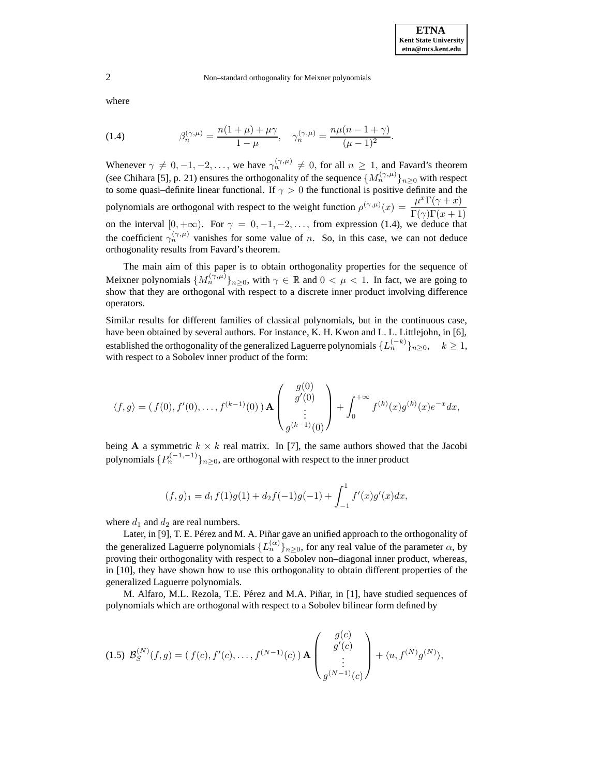where

(1.4) 
$$
\beta_n^{(\gamma,\mu)} = \frac{n(1+\mu)+\mu\gamma}{1-\mu}, \quad \gamma_n^{(\gamma,\mu)} = \frac{n\mu(n-1+\gamma)}{(\mu-1)^2}.
$$

Whenever  $\gamma \neq 0, -1, -2, \ldots$ , we have  $\gamma_n^{(\gamma,\mu)} \neq 0$ , for all  $n \geq 1$ , and Favard's theorem (see Chihara [5], p. 21) ensures the orthogonality of the sequence  $\{M_n^{(\gamma,\mu)}\}_{n>0}$  with respect to some quasi–definite linear functional. If  $\gamma > 0$  the functional is positive definite and the polynomials are orthogonal with respect to the weight function  $\rho^{(\gamma,\mu)}(x) = \frac{\mu^x \Gamma(\gamma + x)}{\Gamma(\gamma)\Gamma(x+1)}$ on the interval  $[0, +\infty)$ . For  $\gamma = 0, -1, -2, \ldots$ , from expression (1.4), we deduce that the coefficient  $\gamma_n^{(\gamma,\mu)}$  vanishes for some value of n. So, in this case, we can not deduce orthogonality results from Favard's theorem.

The main aim of this paper is to obtain orthogonality properties for the sequence of Meixner polynomials  $\{M_n^{(\gamma,\mu)}\}_{n\geq 0}$ , with  $\gamma \in \mathbb{R}$  and  $0 < \mu < 1$ . In fact, we are going to show that they are orthogonal with respect to a discrete inner product involving difference operators.

Similar results for different families of classical polynomials, but in the continuous case, have been obtained by several authors. For instance, K. H. Kwon and L. L. Littlejohn, in [6], established the orthogonality of the generalized Laguerre polynomials  $\{L_n^{(-k)}\}_{n>0}, \quad k \ge 1$ , with respect to a Sobolev inner product of the form:

$$
\langle f, g \rangle = (f(0), f'(0), \dots, f^{(k-1)}(0)) \mathbf{A} \begin{pmatrix} g(0) \\ g'(0) \\ \vdots \\ g^{(k-1)}(0) \end{pmatrix} + \int_0^{+\infty} f^{(k)}(x) g^{(k)}(x) e^{-x} dx,
$$

being **A** a symmetric  $k \times k$  real matrix. In [7], the same authors showed that the Jacobi polynomials  $\{P_n^{(-1,-1)}\}_{n>0}$ , are orthogonal with respect to the inner product

$$
(f,g)_1 = d_1 f(1)g(1) + d_2 f(-1)g(-1) + \int_{-1}^1 f'(x)g'(x)dx,
$$

where  $d_1$  and  $d_2$  are real numbers.

Later, in [9], T. E. Pérez and M. A. Piñar gave an unified approach to the orthogonality of the generalized Laguerre polynomials  $\{L_n^{(\alpha)}\}_{n\geq 0}$ , for any real value of the parameter  $\alpha$ , by proving their orthogonality with respect to a Sobolev non–diagonal inner product, whereas, in [10], they have shown how to use this orthogonality to obtain different properties of the generalized Laguerre polynomials.

M. Alfaro, M.L. Rezola, T.E. Pérez and M.A. Piñar, in [1], have studied sequences of polynomials which are orthogonal with respect to a Sobolev bilinear form defined by

$$
(1.5) \ \mathcal{B}_{S}^{(N)}(f,g) = (f(c), f'(c), \dots, f^{(N-1)}(c)) \mathbf{A} \begin{pmatrix} g(c) \\ g'(c) \\ \vdots \\ g^{(N-1)}(c) \end{pmatrix} + \langle u, f^{(N)}g^{(N)} \rangle,
$$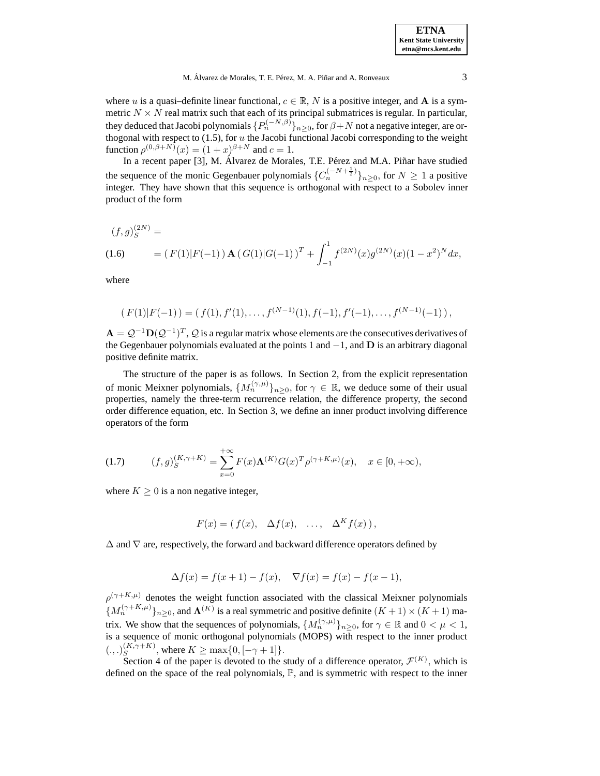where u is a quasi-definite linear functional,  $c \in \mathbb{R}$ , N is a positive integer, and **A** is a symmetric  $N \times N$  real matrix such that each of its principal submatrices is regular. In particular, they deduced that Jacobi polynomials  $\{P_n^{(-N,\beta)}\}_{n\geq 0}$ , for  $\beta+N$  not a negative integer, are orthogonal with respect to  $(1.5)$ , for u the Jacobi functional Jacobi corresponding to the weight function  $\rho^{(0,\beta+N)}(x) = (1+x)^{\beta+N}$  and  $c=1$ .

In a recent paper [3], M. Álvarez de Morales, T.E. Pérez and M.A. Piñar have studied the sequence of the monic Gegenbauer polynomials  ${C_n^{(-N+\frac{1}{2})}}_{n \geq 0}$ , for  $N \geq 1$  a positive integer. They have shown that this sequence is orthogonal with respect to a Sobolev inner product of the form

$$
(f,g)_S^{(2N)} =
$$
  
(1.6) 
$$
= (F(1)|F(-1)) \mathbf{A} (G(1)|G(-1))^{T} + \int_{-1}^{1} f^{(2N)}(x)g^{(2N)}(x)(1-x^2)^{N} dx,
$$

where

$$
(F(1)|F(-1)) = (f(1), f'(1), \ldots, f^{(N-1)}(1), f(-1), f'(-1), \ldots, f^{(N-1)}(-1)),
$$

 $\mathbf{A} = \mathcal{Q}^{-1} \mathbf{D}(\mathcal{Q}^{-1})^T$ ,  $\mathcal{Q}$  is a regular matrix whose elements are the consecutives derivatives of the Gegenbauer polynomials evaluated at the points 1 and −1, and **D** is an arbitrary diagonal positive definite matrix.

The structure of the paper is as follows. In Section 2, from the explicit representation of monic Meixner polynomials,  $\{M_n^{(\gamma,\mu)}\}_{n\geq 0}$ , for  $\gamma \in \mathbb{R}$ , we deduce some of their usual properties, namely the three-term recurrence relation, the difference property, the second order difference equation, etc. In Section 3, we define an inner product involving difference operators of the form

(1.7) 
$$
(f,g)_S^{(K,\gamma+K)} = \sum_{x=0}^{+\infty} F(x) \Lambda^{(K)} G(x)^T \rho^{(\gamma+K,\mu)}(x), \quad x \in [0,+\infty),
$$

where  $K \geq 0$  is a non negative integer,

$$
F(x) = (f(x), \Delta f(x), \ldots, \Delta^K f(x)),
$$

 $\Delta$  and  $\nabla$  are, respectively, the forward and backward difference operators defined by

$$
\Delta f(x) = f(x+1) - f(x), \quad \nabla f(x) = f(x) - f(x-1),
$$

 $\rho^{(\gamma+K,\mu)}$  denotes the weight function associated with the classical Meixner polynomials  ${M_n^{(\gamma+K,\mu)}}_{n>0}$ , and  $\Lambda^{(K)}$  is a real symmetric and positive definite  $(K+1) \times (K+1)$  matrix. We show that the sequences of polynomials,  $\{M_n^{(\gamma,\mu)}\}_{n\geq 0}$ , for  $\gamma \in \mathbb{R}$  and  $0 < \mu < 1$ , is a sequence of monic orthogonal polynomials (MOPS) with respect to the inner product  $(.,.)_{S}^{(K,\gamma+K)}$ , where  $K \ge \max\{0, [-\gamma+1]\}.$ 

Section 4 of the paper is devoted to the study of a difference operator,  $\mathcal{F}^{(K)}$ , which is defined on the space of the real polynomials,  $\mathbb{P}$ , and is symmetric with respect to the inner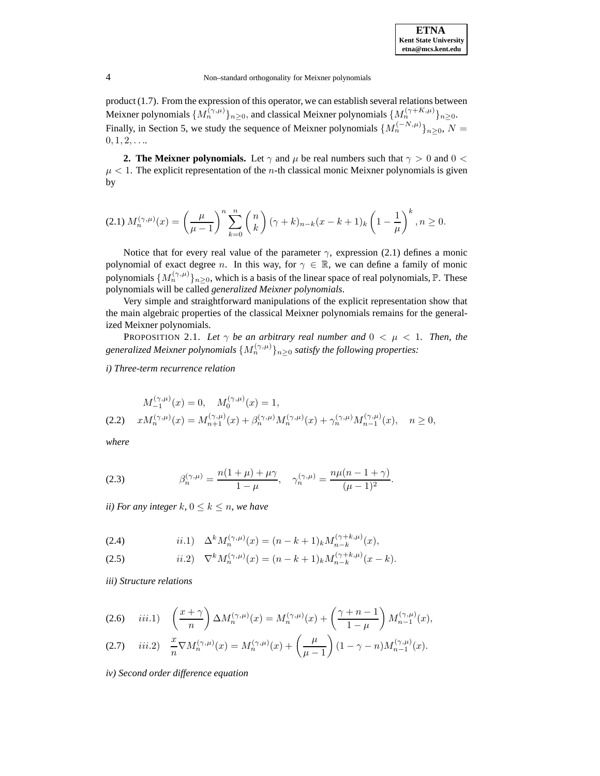product (1.7). From the expression of this operator, we can establish several relations between Meixner polynomials  $\{M_n^{(\gamma,\mu)}\}_{n>0}$ , and classical Meixner polynomials  $\{M_n^{(\gamma+K,\mu)}\}_{n>0}$ . Finally, in Section 5, we study the sequence of Meixner polynomials  $\{M_n^{(-N,\mu)}\}_{n>0}, N=$  $0, 1, 2, \ldots$ 

**2. The Meixner polynomials.** Let  $\gamma$  and  $\mu$  be real numbers such that  $\gamma > 0$  and  $0 < \pi$  $\mu$  < 1. The explicit representation of the *n*-th classical monic Meixner polynomials is given by

$$
(2.1) M_n^{(\gamma,\mu)}(x) = \left(\frac{\mu}{\mu-1}\right)^n \sum_{k=0}^n \binom{n}{k} \left(\gamma+k\right)_{n-k} (x-k+1)_k \left(1-\frac{1}{\mu}\right)^k, n \ge 0.
$$

Notice that for every real value of the parameter  $\gamma$ , expression (2.1) defines a monic polynomial of exact degree n. In this way, for  $\gamma \in \mathbb{R}$ , we can define a family of monic polynomials  $\{M_n^{(\gamma,\mu)}\}_{n>0}$ , which is a basis of the linear space of real polynomials,  $\mathbb P$ . These polynomials will be called *generalized Meixner polynomials*.

Very simple and straightforward manipulations of the explicit representation show that the main algebraic properties of the classical Meixner polynomials remains for the generalized Meixner polynomials.

PROPOSITION 2.1. Let  $\gamma$  be an arbitrary real number and  $0 < \mu < 1$ . Then, the *generalized Meixner polynomials*  $\{M_n^{(\gamma,\mu)}\}_{n\geq 0}$  *satisfy the following properties:* 

*i) Three-term recurrence relation*

$$
M_{-1}^{(\gamma,\mu)}(x) = 0, \quad M_0^{(\gamma,\mu)}(x) = 1,
$$
  
(2.2) 
$$
xM_n^{(\gamma,\mu)}(x) = M_{n+1}^{(\gamma,\mu)}(x) + \beta_n^{(\gamma,\mu)}M_n^{(\gamma,\mu)}(x) + \gamma_n^{(\gamma,\mu)}M_{n-1}^{(\gamma,\mu)}(x), \quad n \ge 0,
$$

*where*

(2.3) 
$$
\beta_n^{(\gamma,\mu)} = \frac{n(1+\mu)+\mu\gamma}{1-\mu}, \quad \gamma_n^{(\gamma,\mu)} = \frac{n\mu(n-1+\gamma)}{(\mu-1)^2}.
$$

*ii)* For any integer k,  $0 \leq k \leq n$ , we have

(2.4) 
$$
ii.1) \quad \Delta^k M_n^{(\gamma,\mu)}(x) = (n-k+1)_k M_{n-k}^{(\gamma+k,\mu)}(x),
$$

(2.5) 
$$
ii.2) \quad \nabla^k M_n^{(\gamma,\mu)}(x) = (n-k+1)_k M_{n-k}^{(\gamma+k,\mu)}(x-k).
$$

*iii) Structure relations*

$$
(2.6) \quad iii.1) \quad \left(\frac{x+\gamma}{n}\right) \Delta M_n^{(\gamma,\mu)}(x) = M_n^{(\gamma,\mu)}(x) + \left(\frac{\gamma+n-1}{1-\mu}\right) M_{n-1}^{(\gamma,\mu)}(x),
$$

$$
(2.7) \quad iii.2) \quad \frac{x}{n} \nabla M_n^{(\gamma,\mu)}(x) = M_n^{(\gamma,\mu)}(x) + \left(\frac{\mu}{\mu-1}\right) (1-\gamma-n) M_{n-1}^{(\gamma,\mu)}(x).
$$

*iv) Second order difference equation*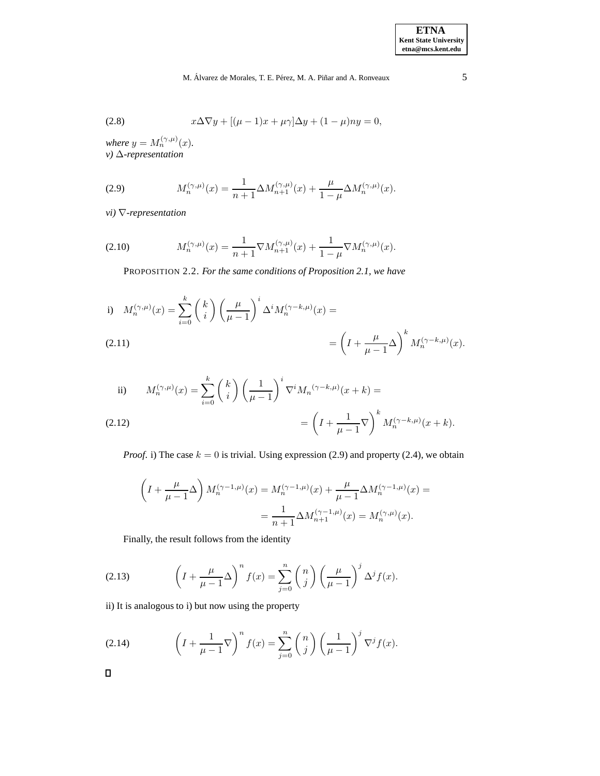$$
(2.8) \t x\Delta\nabla y + [(\mu - 1)x + \mu\gamma]\Delta y + (1 - \mu)ny = 0,
$$

*where*  $y = M_n^{(\gamma,\mu)}(x)$ . *v)* ∆*-representation*

(2.9) 
$$
M_n^{(\gamma,\mu)}(x) = \frac{1}{n+1} \Delta M_{n+1}^{(\gamma,\mu)}(x) + \frac{\mu}{1-\mu} \Delta M_n^{(\gamma,\mu)}(x).
$$

*vi)* ∇*-representation*

(2.10) 
$$
M_n^{(\gamma,\mu)}(x) = \frac{1}{n+1} \nabla M_{n+1}^{(\gamma,\mu)}(x) + \frac{1}{1-\mu} \nabla M_n^{(\gamma,\mu)}(x).
$$

PROPOSITION 2.2. *For the same conditions of Proposition 2.1, we have*

i) 
$$
M_n^{(\gamma,\mu)}(x) = \sum_{i=0}^k {k \choose i} \left(\frac{\mu}{\mu-1}\right)^i \Delta^i M_n^{(\gamma-k,\mu)}(x) =
$$
  
(2.11) 
$$
= \left(I + \frac{\mu}{\mu-1} \Delta\right)^k M_n^{(\gamma-k,\mu)}(x).
$$

ii) 
$$
M_n^{(\gamma,\mu)}(x) = \sum_{i=0}^k {k \choose i} \left(\frac{1}{\mu-1}\right)^i \nabla^i M_n^{(\gamma-k,\mu)}(x+k) =
$$
  
(2.12) 
$$
= \left(I + \frac{1}{\mu-1} \nabla\right)^k M_n^{(\gamma-k,\mu)}(x+k).
$$

*Proof.* i) The case  $k = 0$  is trivial. Using expression (2.9) and property (2.4), we obtain

$$
\left(I + \frac{\mu}{\mu - 1}\Delta\right)M_n^{(\gamma - 1, \mu)}(x) = M_n^{(\gamma - 1, \mu)}(x) + \frac{\mu}{\mu - 1}\Delta M_n^{(\gamma - 1, \mu)}(x) =
$$
  
= 
$$
\frac{1}{n + 1}\Delta M_{n + 1}^{(\gamma - 1, \mu)}(x) = M_n^{(\gamma, \mu)}(x).
$$

Finally, the result follows from the identity

(2.13) 
$$
\left(I + \frac{\mu}{\mu - 1} \Delta\right)^n f(x) = \sum_{j=0}^n {n \choose j} \left(\frac{\mu}{\mu - 1}\right)^j \Delta^j f(x).
$$

ii) It is analogous to i) but now using the property

(2.14) 
$$
\left(I + \frac{1}{\mu - 1} \nabla\right)^n f(x) = \sum_{j=0}^n {n \choose j} \left(\frac{1}{\mu - 1}\right)^j \nabla^j f(x).
$$

 $\Box$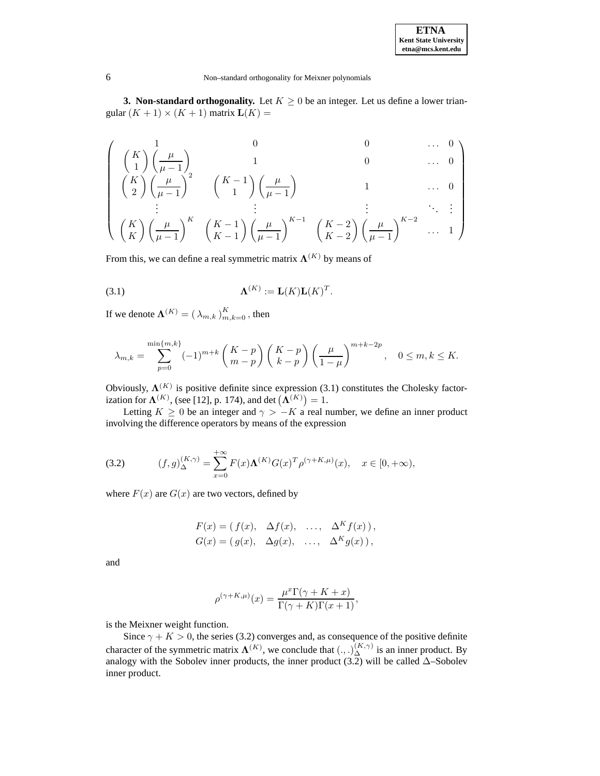**3. Non-standard orthogonality.** Let  $K \geq 0$  be an integer. Let us define a lower triangular  $(K + 1) \times (K + 1)$  matrix  $L(K) =$ 

$$
\left(\begin{array}{c} \left(\begin{array}{c} K \\ 1 \end{array}\right) \left(\frac{\mu}{\mu-1}\right) & 0 & 0 & \cdots & 0 \\ \left(\begin{array}{c} K \\ 2 \end{array}\right) \left(\frac{\mu}{\mu-1}\right)^2 & \left(\begin{array}{c} K-1 \\ 1 \end{array}\right) \left(\frac{\mu}{\mu-1}\right) & 1 & \cdots & 0 \\ \vdots & \vdots & \vdots & \ddots & \vdots \\ \left(\begin{array}{c} K \\ K \end{array}\right) \left(\frac{\mu}{\mu-1}\right)^K & \left(\begin{array}{c} K-1 \\ K-1 \end{array}\right) \left(\frac{\mu}{\mu-1}\right)^{K-1} & \left(\begin{array}{c} K-2 \\ K-2 \end{array}\right) \left(\frac{\mu}{\mu-1}\right)^{K-2} & \cdots & 1 \end{array}\right)
$$

From this, we can define a real symmetric matrix  $\Lambda^{(K)}$  by means of

$$
\Lambda^{(K)} := \mathbf{L}(K)\mathbf{L}(K)^T.
$$

If we denote  $\boldsymbol{\Lambda}^{(K)} = (\lambda_{m,k})_{m,k=0}^K$  , then

$$
\lambda_{m,k} = \sum_{p=0}^{\min\{m,k\}} (-1)^{m+k} \left(\frac{K-p}{m-p}\right) \left(\frac{K-p}{k-p}\right) \left(\frac{\mu}{1-\mu}\right)^{m+k-2p}, \quad 0 \le m, k \le K.
$$

Obviously,  $\Lambda^{(K)}$  is positive definite since expression (3.1) constitutes the Cholesky factorization for  $\Lambda^{(K)}$ , (see [12], p. 174), and det  $(\Lambda^{(K)}) = 1$ .

Letting  $K \geq 0$  be an integer and  $\gamma > -K$  a real number, we define an inner product involving the difference operators by means of the expression

(3.2) 
$$
(f,g)_{\Delta}^{(K,\gamma)} = \sum_{x=0}^{+\infty} F(x) \Lambda^{(K)} G(x)^T \rho^{(\gamma+K,\mu)}(x), \quad x \in [0,+\infty),
$$

where  $F(x)$  are  $G(x)$  are two vectors, defined by

$$
F(x) = (f(x), \Delta f(x), \dots, \Delta^K f(x)),
$$
  
\n
$$
G(x) = (g(x), \Delta g(x), \dots, \Delta^K g(x)),
$$

and

$$
\rho^{(\gamma+K,\mu)}(x) = \frac{\mu^x \Gamma(\gamma+K+x)}{\Gamma(\gamma+K)\Gamma(x+1)},
$$

is the Meixner weight function.

Since  $\gamma + K > 0$ , the series (3.2) converges and, as consequence of the positive definite character of the symmetric matrix  $\mathbf{\Lambda}^{(K)}$ , we conclude that  $(.,.)_{\Delta}^{(K,\gamma)}$  is an inner product. By analogy with the Sobolev inner products, the inner product  $(3.2)$  will be called  $\Delta$ –Sobolev inner product.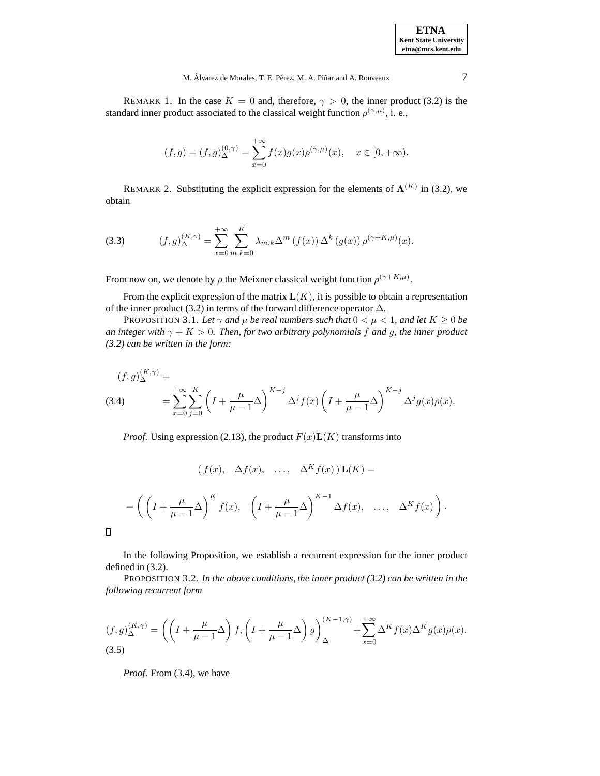| <b>ETNA</b>                  |
|------------------------------|
| <b>Kent State University</b> |
| etna@mcs.kent.edu            |

REMARK 1. In the case  $K = 0$  and, therefore,  $\gamma > 0$ , the inner product (3.2) is the standard inner product associated to the classical weight function  $\rho^{(\gamma,\mu)}$ , i. e.,

$$
(f,g) = (f,g)_{\Delta}^{(0,\gamma)} = \sum_{x=0}^{+\infty} f(x)g(x)\rho^{(\gamma,\mu)}(x), \quad x \in [0,+\infty).
$$

REMARK 2. Substituting the explicit expression for the elements of  $\Lambda^{(K)}$  in (3.2), we obtain

(3.3) 
$$
(f,g)^{(K,\gamma)}_{\Delta} = \sum_{x=0}^{+\infty} \sum_{m,k=0}^{K} \lambda_{m,k} \Delta^m (f(x)) \Delta^k (g(x)) \rho^{(\gamma+K,\mu)}(x).
$$

From now on, we denote by  $\rho$  the Meixner classical weight function  $\rho^{(\gamma+K,\mu)}$ .

From the explicit expression of the matrix  $L(K)$ , it is possible to obtain a representation of the inner product (3.2) in terms of the forward difference operator  $\Delta$ .

PROPOSITION 3.1. Let  $\gamma$  and  $\mu$  be real numbers such that  $0 < \mu < 1$ , and let  $K \geq 0$  be *an integer with*  $\gamma + K > 0$ *. Then, for two arbitrary polynomials f and g, the inner product (3.2) can be written in the form:*

$$
(f,g)_{\Delta}^{(K,\gamma)} =
$$
  
(3.4) 
$$
= \sum_{x=0}^{+\infty} \sum_{j=0}^{K} \left( I + \frac{\mu}{\mu - 1} \Delta \right)^{K-j} \Delta^{j} f(x) \left( I + \frac{\mu}{\mu - 1} \Delta \right)^{K-j} \Delta^{j} g(x) \rho(x).
$$

*Proof.* Using expression (2.13), the product  $F(x)L(K)$  transforms into

$$
(f(x), \Delta f(x), \ldots, \Delta^K f(x)) \mathbf{L}(K) =
$$

$$
= \left( \left( I + \frac{\mu}{\mu - 1} \Delta \right)^K f(x), \left( I + \frac{\mu}{\mu - 1} \Delta \right)^{K-1} \Delta f(x), \dots, \Delta^K f(x) \right).
$$

 $\Box$ 

In the following Proposition, we establish a recurrent expression for the inner product defined in (3.2).

PROPOSITION 3.2. *In the above conditions, the inner product (3.2) can be written in the following recurrent form*

$$
(f,g)_{\Delta}^{(K,\gamma)} = \left( \left( I + \frac{\mu}{\mu - 1} \Delta \right) f, \left( I + \frac{\mu}{\mu - 1} \Delta \right) g \right)_{\Delta}^{(K-1,\gamma)} + \sum_{x=0}^{+\infty} \Delta^K f(x) \Delta^K g(x) \rho(x).
$$
\n(3.5)

*Proof*. From (3.4), we have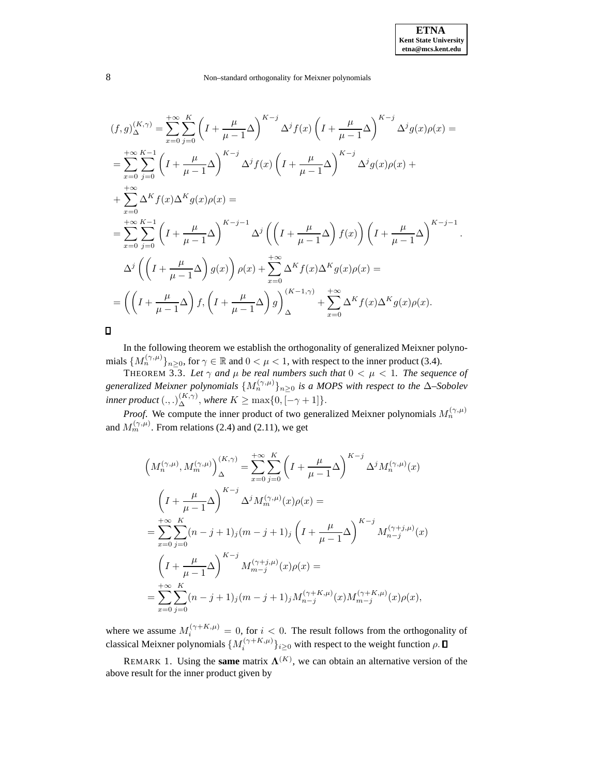.

#### 8 Non–standard orthogonality for Meixner polynomials

$$
(f,g)_{\Delta}^{(K,\gamma)} = \sum_{x=0}^{+\infty} \sum_{j=0}^{K} \left( I + \frac{\mu}{\mu - 1} \Delta \right)^{K-j} \Delta^{j} f(x) \left( I + \frac{\mu}{\mu - 1} \Delta \right)^{K-j} \Delta^{j} g(x) \rho(x) =
$$
  
\n
$$
= \sum_{x=0}^{+\infty} \sum_{j=0}^{K-1} \left( I + \frac{\mu}{\mu - 1} \Delta \right)^{K-j} \Delta^{j} f(x) \left( I + \frac{\mu}{\mu - 1} \Delta \right)^{K-j} \Delta^{j} g(x) \rho(x) +
$$
  
\n
$$
+ \sum_{x=0}^{+\infty} \Delta^{K} f(x) \Delta^{K} g(x) \rho(x) =
$$
  
\n
$$
= \sum_{x=0}^{+\infty} \sum_{j=0}^{K-1} \left( I + \frac{\mu}{\mu - 1} \Delta \right)^{K-j-1} \Delta^{j} \left( \left( I + \frac{\mu}{\mu - 1} \Delta \right) f(x) \right) \left( I + \frac{\mu}{\mu - 1} \Delta \right)^{K-j-1}
$$
  
\n
$$
\Delta^{j} \left( \left( I + \frac{\mu}{\mu - 1} \Delta \right) g(x) \right) \rho(x) + \sum_{x=0}^{+\infty} \Delta^{K} f(x) \Delta^{K} g(x) \rho(x) =
$$
  
\n
$$
= \left( \left( I + \frac{\mu}{\mu - 1} \Delta \right) f, \left( I + \frac{\mu}{\mu - 1} \Delta \right) g \right)_{\Delta}^{(K-1,\gamma)} + \sum_{x=0}^{+\infty} \Delta^{K} f(x) \Delta^{K} g(x) \rho(x).
$$

 $\Box$ 

In the following theorem we establish the orthogonality of generalized Meixner polynomials  $\{M_n^{(\gamma,\mu)}\}_{n\geq 0}$ , for  $\gamma \in \mathbb{R}$  and  $0 < \mu < 1$ , with respect to the inner product (3.4).

**THEOREM 3.3.** Let  $\gamma$  and  $\mu$  be real numbers such that  $0 < \mu < 1$ . The sequence of *generalized Meixner polynomials*  $\{M_n^{(\gamma,\mu)}\}_{n\geq 0}$  *is a MOPS with respect to the*  $\Delta$ –*Sobolev inner product*  $(.,.)_{\Delta}^{(K,\gamma)},$  *where*  $K \ge \max\{0, [-\gamma + 1]\}.$ 

*Proof.* We compute the inner product of two generalized Meixner polynomials  $M_n^{(\gamma,\mu)}$ and  $M_m^{(\gamma,\mu)}$ . From relations (2.4) and (2.11), we get

$$
\left(M_n^{(\gamma,\mu)}, M_m^{(\gamma,\mu)}\right)_{\Delta}^{(K,\gamma)} = \sum_{x=0}^{+\infty} \sum_{j=0}^K \left(I + \frac{\mu}{\mu - 1}\Delta\right)^{K-j} \Delta^j M_n^{(\gamma,\mu)}(x)
$$
  

$$
\left(I + \frac{\mu}{\mu - 1}\Delta\right)^{K-j} \Delta^j M_m^{(\gamma,\mu)}(x) \rho(x) =
$$
  

$$
= \sum_{x=0}^{+\infty} \sum_{j=0}^K (n - j + 1)_j (m - j + 1)_j \left(I + \frac{\mu}{\mu - 1}\Delta\right)^{K-j} M_{n-j}^{(\gamma+j,\mu)}(x)
$$
  

$$
\left(I + \frac{\mu}{\mu - 1}\Delta\right)^{K-j} M_{m-j}^{(\gamma+j,\mu)}(x) \rho(x) =
$$
  

$$
= \sum_{x=0}^{+\infty} \sum_{j=0}^K (n - j + 1)_j (m - j + 1)_j M_{n-j}^{(\gamma + K, \mu)}(x) M_{m-j}^{(\gamma + K, \mu)}(x) \rho(x),
$$

where we assume  $M_i^{(\gamma + K, \mu)} = 0$ , for  $i < 0$ . The result follows from the orthogonality of classical Meixner polynomials  $\{M_i^{(\gamma+K,\mu)}\}_{i\geq 0}$  with respect to the weight function  $\rho$ .

REMARK 1. Using the **same** matrix  $\mathbf{\Lambda}^{(K)}$ , we can obtain an alternative version of the above result for the inner product given by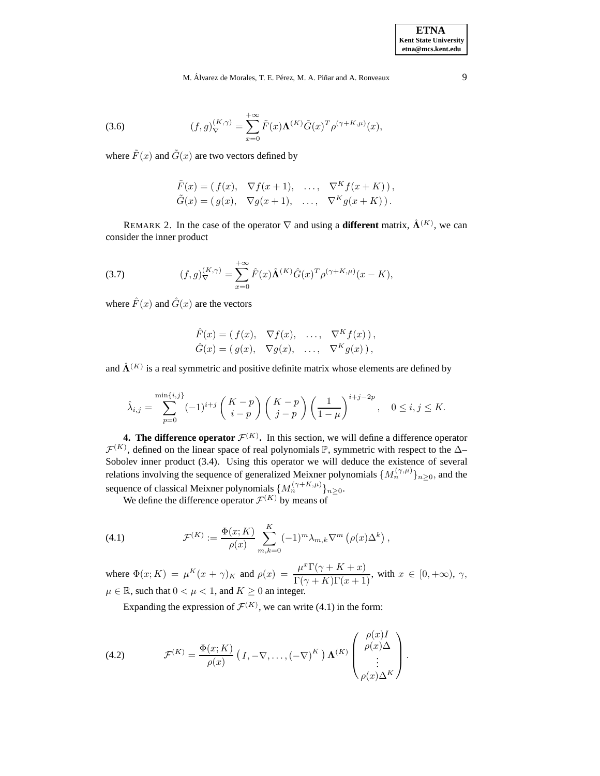(3.6) 
$$
(f,g)_{\nabla}^{(K,\gamma)} = \sum_{x=0}^{+\infty} \tilde{F}(x) \Lambda^{(K)} \tilde{G}(x)^T \rho^{(\gamma+K,\mu)}(x),
$$

where  $\tilde{F}(x)$  and  $\tilde{G}(x)$  are two vectors defined by

$$
\tilde{F}(x) = (f(x), \nabla f(x+1), \dots, \nabla^K f(x+K)),
$$
  
\n
$$
\tilde{G}(x) = (g(x), \nabla g(x+1), \dots, \nabla^K g(x+K)).
$$

REMARK 2. In the case of the operator  $\nabla$  and using a **different** matrix,  $\hat{\mathbf{\Lambda}}^{(K)}$ , we can consider the inner product

(3.7) 
$$
(f,g)^{(K,\gamma)}_{\nabla} = \sum_{x=0}^{+\infty} \hat{F}(x) \hat{\Lambda}^{(K)} \hat{G}(x)^T \rho^{(\gamma+K,\mu)}(x-K),
$$

where  $\hat{F}(x)$  and  $\hat{G}(x)$  are the vectors

$$
\hat{F}(x) = (f(x), \nabla f(x), \dots, \nabla^K f(x)),
$$
  
\n
$$
\hat{G}(x) = (g(x), \nabla g(x), \dots, \nabla^K g(x)),
$$

and  $\hat{\mathbf{\Lambda}}^{(K)}$  is a real symmetric and positive definite matrix whose elements are defined by

$$
\hat{\lambda}_{i,j} = \sum_{p=0}^{\min\{i,j\}} (-1)^{i+j} \left( \begin{array}{c} K-p \\ i-p \end{array} \right) \left( \begin{array}{c} K-p \\ j-p \end{array} \right) \left( \frac{1}{1-\mu} \right)^{i+j-2p}, \quad 0 \le i,j \le K.
$$

**4. The difference operator**  $\mathcal{F}^{(K)}$ . In this section, we will define a difference operator  $\mathcal{F}^{(K)}$ , defined on the linear space of real polynomials  $\mathbb{P}$ , symmetric with respect to the  $\Delta$ -Sobolev inner product (3.4). Using this operator we will deduce the existence of several relations involving the sequence of generalized Meixner polynomials  $\{M_n^{(\gamma,\mu)}\}_{n>0}$ , and the sequence of classical Meixner polynomials  $\{M_n^{(\gamma+K,\mu)}\}_{n\geq 0}$ .

We define the difference operator  $\mathcal{F}^{(K)}$  by means of

(4.1) 
$$
\mathcal{F}^{(K)} := \frac{\Phi(x;K)}{\rho(x)} \sum_{m,k=0}^{K} (-1)^m \lambda_{m,k} \nabla^m \left( \rho(x) \Delta^k \right),
$$

where  $\Phi(x;K) = \mu^{K}(x+\gamma)_{K}$  and  $\rho(x) = \frac{\mu^{x}\Gamma(\gamma+K+x)}{\Gamma(\gamma+K)\Gamma(x+1)}$ , with  $x \in [0,+\infty)$ ,  $\gamma$ ,  $\mu \in \mathbb{R}$ , such that  $0 < \mu < 1$ , and  $K \geq 0$  an integer.

Expanding the expression of  $\mathcal{F}^{(K)}$ , we can write (4.1) in the form:

(4.2) 
$$
\mathcal{F}^{(K)} = \frac{\Phi(x;K)}{\rho(x)} \left( I, -\nabla, \ldots, (-\nabla)^K \right) \mathbf{\Lambda}^{(K)} \begin{pmatrix} \rho(x)I \\ \rho(x)\Delta \\ \vdots \\ \rho(x)\Delta^K \end{pmatrix}.
$$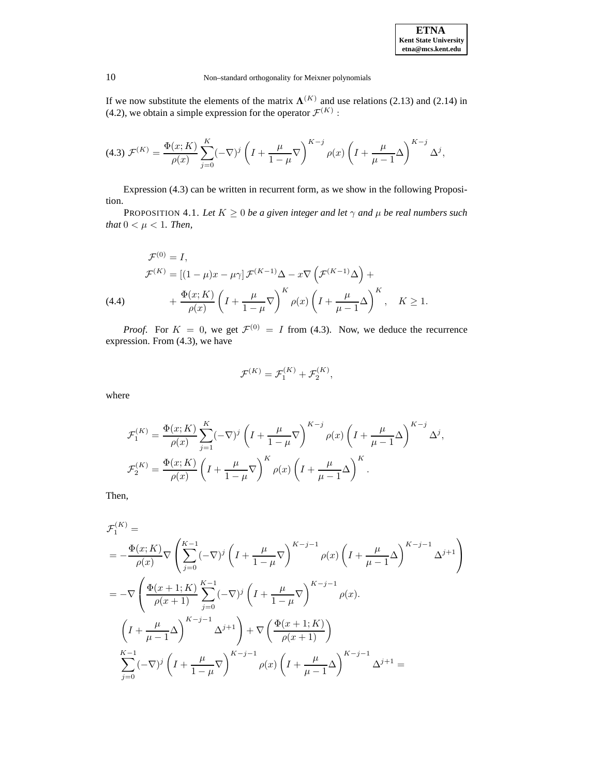If we now substitute the elements of the matrix  $\Lambda^{(K)}$  and use relations (2.13) and (2.14) in (4.2), we obtain a simple expression for the operator  $\mathcal{F}^{(K)}$ :

$$
(4.3) \ \mathcal{F}^{(K)} = \frac{\Phi(x;K)}{\rho(x)} \sum_{j=0}^{K} (-\nabla)^j \left( I + \frac{\mu}{1-\mu} \nabla \right)^{K-j} \rho(x) \left( I + \frac{\mu}{\mu - 1} \Delta \right)^{K-j} \Delta^j,
$$

Expression (4.3) can be written in recurrent form, as we show in the following Proposition.

PROPOSITION 4.1. *Let*  $K \geq 0$  *be a given integer and let*  $\gamma$  *and*  $\mu$  *be real numbers such that*  $0 < \mu < 1$ *. Then,* 

(4.4)  
\n
$$
\mathcal{F}^{(0)} = I,
$$
\n
$$
\mathcal{F}^{(K)} = \left[ (1 - \mu)x - \mu\gamma \right] \mathcal{F}^{(K-1)}\Delta - x\nabla \left( \mathcal{F}^{(K-1)}\Delta \right) +
$$
\n
$$
+ \frac{\Phi(x;K)}{\rho(x)} \left( I + \frac{\mu}{1-\mu} \nabla \right)^K \rho(x) \left( I + \frac{\mu}{\mu - 1} \Delta \right)^K, \quad K \ge 1.
$$

*Proof.* For  $K = 0$ , we get  $\mathcal{F}^{(0)} = I$  from (4.3). Now, we deduce the recurrence expression. From (4.3), we have

$$
\mathcal{F}^{(K)} = \mathcal{F}_1^{(K)} + \mathcal{F}_2^{(K)},
$$

where

$$
\mathcal{F}_1^{(K)} = \frac{\Phi(x;K)}{\rho(x)} \sum_{j=1}^K (-\nabla)^j \left( I + \frac{\mu}{1-\mu} \nabla \right)^{K-j} \rho(x) \left( I + \frac{\mu}{\mu - 1} \Delta \right)^{K-j} \Delta^j,
$$
  

$$
\mathcal{F}_2^{(K)} = \frac{\Phi(x;K)}{\rho(x)} \left( I + \frac{\mu}{1-\mu} \nabla \right)^K \rho(x) \left( I + \frac{\mu}{\mu - 1} \Delta \right)^K.
$$

Then,

$$
\mathcal{F}_{1}^{(K)} =
$$
\n
$$
= -\frac{\Phi(x;K)}{\rho(x)} \nabla \left( \sum_{j=0}^{K-1} (-\nabla)^{j} \left( I + \frac{\mu}{1-\mu} \nabla \right)^{K-j-1} \rho(x) \left( I + \frac{\mu}{\mu-1} \Delta \right)^{K-j-1} \Delta^{j+1} \right)
$$
\n
$$
= -\nabla \left( \frac{\Phi(x+1;K)}{\rho(x+1)} \sum_{j=0}^{K-1} (-\nabla)^{j} \left( I + \frac{\mu}{1-\mu} \nabla \right)^{K-j-1} \rho(x).
$$
\n
$$
\left( I + \frac{\mu}{\mu-1} \Delta \right)^{K-j-1} \Delta^{j+1} \right) + \nabla \left( \frac{\Phi(x+1;K)}{\rho(x+1)} \right)
$$
\n
$$
\sum_{j=0}^{K-1} (-\nabla)^{j} \left( I + \frac{\mu}{1-\mu} \nabla \right)^{K-j-1} \rho(x) \left( I + \frac{\mu}{\mu-1} \Delta \right)^{K-j-1} \Delta^{j+1} =
$$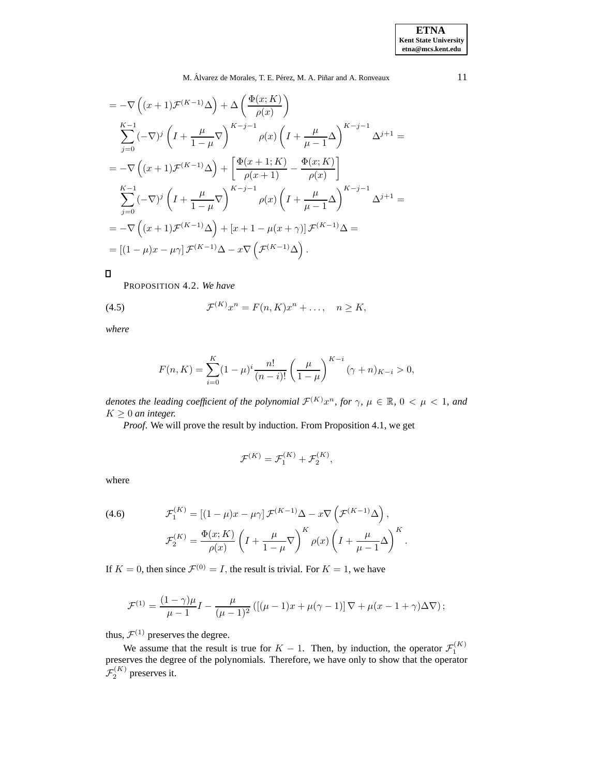$$
= -\nabla \left( (x+1) \mathcal{F}^{(K-1)} \Delta \right) + \Delta \left( \frac{\Phi(x;K)}{\rho(x)} \right)
$$
  
\n
$$
\sum_{j=0}^{K-1} (-\nabla)^j \left( I + \frac{\mu}{1-\mu} \nabla \right)^{K-j-1} \rho(x) \left( I + \frac{\mu}{\mu-1} \Delta \right)^{K-j-1} \Delta^{j+1} =
$$
  
\n
$$
= -\nabla \left( (x+1) \mathcal{F}^{(K-1)} \Delta \right) + \left[ \frac{\Phi(x+1;K)}{\rho(x+1)} - \frac{\Phi(x;K)}{\rho(x)} \right]
$$
  
\n
$$
\sum_{j=0}^{K-1} (-\nabla)^j \left( I + \frac{\mu}{1-\mu} \nabla \right)^{K-j-1} \rho(x) \left( I + \frac{\mu}{\mu-1} \Delta \right)^{K-j-1} \Delta^{j+1} =
$$
  
\n
$$
= -\nabla \left( (x+1) \mathcal{F}^{(K-1)} \Delta \right) + \left[ x+1 - \mu(x+\gamma) \right] \mathcal{F}^{(K-1)} \Delta =
$$
  
\n
$$
= \left[ (1-\mu)x - \mu \gamma \right] \mathcal{F}^{(K-1)} \Delta - x \nabla \left( \mathcal{F}^{(K-1)} \Delta \right).
$$

## $\blacksquare$

PROPOSITION 4.2. *We have*

(4.5) 
$$
\mathcal{F}^{(K)}x^n = F(n,K)x^n + \dots, \quad n \geq K,
$$

*where*

$$
F(n,K) = \sum_{i=0}^{K} (1 - \mu)^i \frac{n!}{(n-i)!} \left(\frac{\mu}{1-\mu}\right)^{K-i} (\gamma + n)_{K-i} > 0,
$$

*denotes the leading coefficient of the polynomial*  $\mathcal{F}^{(K)}x^n$ *, for*  $\gamma$ ,  $\mu \in \mathbb{R}$ ,  $0 < \mu < 1$ , and  $K \geq 0$  *an integer.* 

*Proof*. We will prove the result by induction. From Proposition 4.1, we get

$$
\mathcal{F}^{(K)} = \mathcal{F}_1^{(K)} + \mathcal{F}_2^{(K)},
$$

where

(4.6) 
$$
\mathcal{F}_1^{(K)} = \left[ (1 - \mu)x - \mu\gamma \right] \mathcal{F}^{(K-1)}\Delta - x\nabla \left( \mathcal{F}^{(K-1)}\Delta \right),
$$

$$
\mathcal{F}_2^{(K)} = \frac{\Phi(x;K)}{\rho(x)} \left( I + \frac{\mu}{1-\mu} \nabla \right)^K \rho(x) \left( I + \frac{\mu}{\mu - 1} \Delta \right)^K.
$$

If  $K = 0$ , then since  $\mathcal{F}^{(0)} = I$ , the result is trivial. For  $K = 1$ , we have

$$
\mathcal{F}^{(1)} = \frac{(1-\gamma)\mu}{\mu - 1} I - \frac{\mu}{(\mu - 1)^2} \left( [(\mu - 1)x + \mu(\gamma - 1)] \nabla + \mu(x - 1 + \gamma) \Delta \nabla \right);
$$

thus,  $\mathcal{F}^{(1)}$  preserves the degree.

We assume that the result is true for  $K - 1$ . Then, by induction, the operator  $\mathcal{F}_1^{(K)}$  preserves the degree of the polynomials. Therefore, we have only to show that the operator  $\mathcal{F}_2^{(K)}$  preserves it.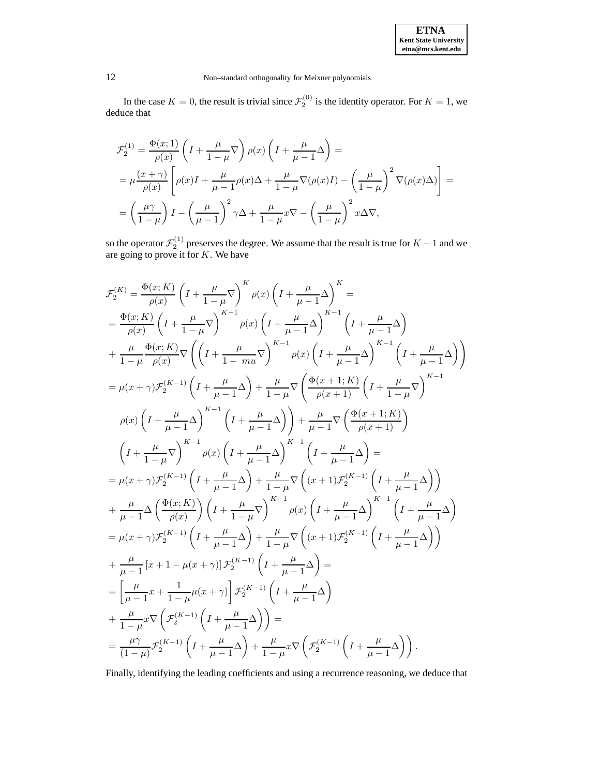

In the case  $K = 0$ , the result is trivial since  $\mathcal{F}_2^{(0)}$  is the identity operator. For  $K = 1$ , we deduce that

$$
\mathcal{F}_2^{(1)} = \frac{\Phi(x;1)}{\rho(x)} \left( I + \frac{\mu}{1-\mu} \nabla \right) \rho(x) \left( I + \frac{\mu}{\mu - 1} \Delta \right) =
$$
  
\n
$$
= \mu \frac{(x+\gamma)}{\rho(x)} \left[ \rho(x)I + \frac{\mu}{\mu - 1} \rho(x) \Delta + \frac{\mu}{1-\mu} \nabla(\rho(x)I) - \left(\frac{\mu}{1-\mu}\right)^2 \nabla(\rho(x) \Delta) \right] =
$$
  
\n
$$
= \left( \frac{\mu \gamma}{1-\mu} \right) I - \left( \frac{\mu}{\mu - 1} \right)^2 \gamma \Delta + \frac{\mu}{1-\mu} x \nabla - \left( \frac{\mu}{1-\mu} \right)^2 x \Delta \nabla,
$$

so the operator  $\mathcal{F}_2^{(1)}$  preserves the degree. We assume that the result is true for  $K-1$  and we are going to prove it for  $K$ . We have

$$
\mathcal{F}_{2}^{(K)} = \frac{\Phi(x;K)}{\rho(x)} \left( I + \frac{\mu}{1-\mu} \nabla \right)^{K} \rho(x) \left( I + \frac{\mu}{\mu-1} \Delta \right)^{K} =
$$
\n
$$
= \frac{\Phi(x;K)}{\rho(x)} \left( I + \frac{\mu}{1-\mu} \nabla \right)^{K-1} \rho(x) \left( I + \frac{\mu}{\mu-1} \Delta \right)^{K-1} \left( I + \frac{\mu}{\mu-1} \Delta \right)
$$
\n
$$
+ \frac{\mu}{1-\mu} \frac{\Phi(x;K)}{\rho(x)} \nabla \left( \left( I + \frac{\mu}{1-mu} \nabla \right)^{K-1} \rho(x) \left( I + \frac{\mu}{\mu-1} \Delta \right)^{K-1} \left( I + \frac{\mu}{\mu-1} \Delta \right) \right)
$$
\n
$$
= \mu(x+\gamma) \mathcal{F}_{2}^{(K-1)} \left( I + \frac{\mu}{\mu-1} \Delta \right) + \frac{\mu}{1-\mu} \nabla \left( \frac{\Phi(x+1;K)}{\rho(x+1)} \left( I + \frac{\mu}{1-\mu} \nabla \right)^{K-1} \right)
$$
\n
$$
\rho(x) \left( I + \frac{\mu}{\mu-1} \Delta \right)^{K-1} \left( I + \frac{\mu}{\mu-1} \Delta \right) \right) + \frac{\mu}{\mu-1} \nabla \left( \frac{\Phi(x+1;K)}{\rho(x+1)} \right)
$$
\n
$$
\left( I + \frac{\mu}{1-\mu} \nabla \right)^{K-1} \rho(x) \left( I + \frac{\mu}{\mu-1} \Delta \right)^{K-1} \left( I + \frac{\mu}{\mu-1} \Delta \right) =
$$
\n
$$
= \mu(x+\gamma) \mathcal{F}_{2}^{(K-1)} \left( I + \frac{\mu}{\mu-1} \Delta \right) + \frac{\mu}{1-\mu} \nabla \left( (x+1) \mathcal{F}_{2}^{(K-1)} \left( I + \frac{\mu}{\mu-1} \Delta \right) \right)
$$
\n
$$
+ \frac{\mu}{\mu-1} \Delta \left( \frac{\Phi(x;K)}{\rho(x)} \right) \left( I + \frac{\mu}{1-\mu} \nabla \right)^{K-1}
$$

Finally, identifying the leading coefficients and using a recurrence reasoning, we deduce that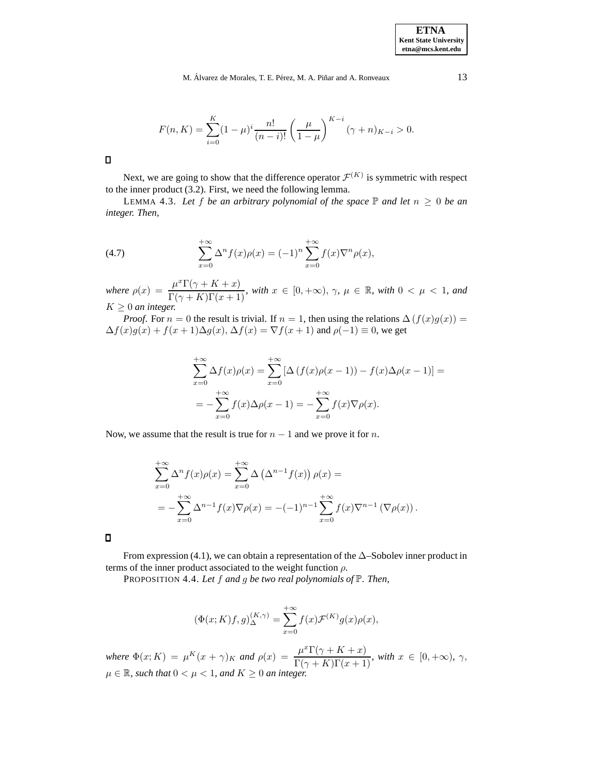$$
F(n, K) = \sum_{i=0}^{K} (1 - \mu)^i \frac{n!}{(n - i)!} \left(\frac{\mu}{1 - \mu}\right)^{K - i} (\gamma + n)_{K - i} > 0.
$$

 $\Box$ 

Next, we are going to show that the difference operator  $\mathcal{F}^{(K)}$  is symmetric with respect to the inner product (3.2). First, we need the following lemma.

LEMMA 4.3. Let f be an arbitrary polynomial of the space  $\mathbb P$  and let  $n \geq 0$  be an *integer. Then,*

(4.7) 
$$
\sum_{x=0}^{+\infty} \Delta^n f(x) \rho(x) = (-1)^n \sum_{x=0}^{+\infty} f(x) \nabla^n \rho(x),
$$

 $where \rho(x) = \frac{\mu^x \Gamma(\gamma + K + x)}{\Gamma(\gamma + K) \Gamma(x + 1)}, \text{ with } x \in [0, +\infty), \gamma, \mu \in \mathbb{R}, \text{ with } 0 < \mu < 1, \text{ and}$  $K \geq 0$  *an integer.* 

*Proof.* For  $n = 0$  the result is trivial. If  $n = 1$ , then using the relations  $\Delta(f(x)g(x)) =$  $\Delta f(x)g(x) + f(x+1)\Delta g(x)$ ,  $\Delta f(x) = \nabla f(x+1)$  and  $\rho(-1) \equiv 0$ , we get

$$
\sum_{x=0}^{+\infty} \Delta f(x)\rho(x) = \sum_{x=0}^{+\infty} [\Delta (f(x)\rho(x-1)) - f(x)\Delta \rho(x-1)] =
$$
  
= 
$$
-\sum_{x=0}^{+\infty} f(x)\Delta \rho(x-1) = -\sum_{x=0}^{+\infty} f(x)\nabla \rho(x).
$$

Now, we assume that the result is true for  $n - 1$  and we prove it for n.

$$
\sum_{x=0}^{+\infty} \Delta^n f(x)\rho(x) = \sum_{x=0}^{+\infty} \Delta \left(\Delta^{n-1} f(x)\right)\rho(x) =
$$
  
= 
$$
-\sum_{x=0}^{+\infty} \Delta^{n-1} f(x)\nabla \rho(x) = -(-1)^{n-1} \sum_{x=0}^{+\infty} f(x)\nabla^{n-1} \left(\nabla \rho(x)\right).
$$

From expression (4.1), we can obtain a representation of the  $\Delta$ –Sobolev inner product in terms of the inner product associated to the weight function  $\rho$ .

PROPOSITION 4.4. *Let* f *and* g *be two real polynomials of* <sup>P</sup>*. Then,*

$$
(\Phi(x;K)f,g)_{\Delta}^{(K,\gamma)} = \sum_{x=0}^{+\infty} f(x)\mathcal{F}^{(K)}g(x)\rho(x),
$$

*where*  $\Phi(x; K) = \mu^{K}(x + \gamma)_{K}$  *and*  $\rho(x) = \frac{\mu^{x}\Gamma(\gamma + K + x)}{\Gamma(\gamma + K)\Gamma(x + 1)}$ *, with*  $x \in [0, +\infty)$ *,*  $\gamma$ *,*  $\mu \in \mathbb{R}$ *, such that*  $0 < \mu < 1$ *, and*  $K \geq 0$  *an integer.*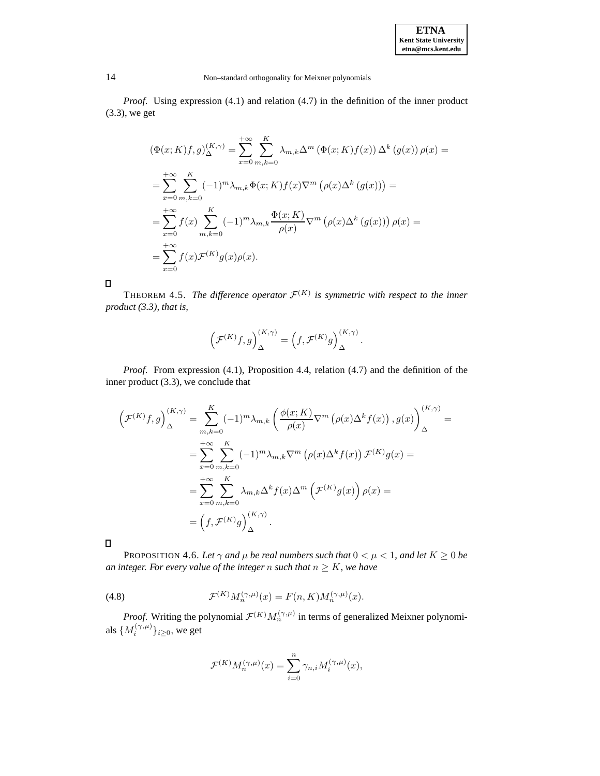*Proof.* Using expression (4.1) and relation (4.7) in the definition of the inner product (3.3), we get

$$
\begin{split}\n(\Phi(x;K)f,g)_{\Delta}^{(K,\gamma)} &= \sum_{x=0}^{+\infty} \sum_{m,k=0}^{K} \lambda_{m,k} \Delta^m \left( \Phi(x;K)f(x) \right) \Delta^k \left( g(x) \right) \rho(x) = \\
&= \sum_{x=0}^{+\infty} \sum_{m,k=0}^{K} (-1)^m \lambda_{m,k} \Phi(x;K)f(x) \nabla^m \left( \rho(x) \Delta^k \left( g(x) \right) \right) = \\
&= \sum_{x=0}^{+\infty} f(x) \sum_{m,k=0}^{K} (-1)^m \lambda_{m,k} \frac{\Phi(x;K)}{\rho(x)} \nabla^m \left( \rho(x) \Delta^k \left( g(x) \right) \right) \rho(x) = \\
&= \sum_{x=0}^{+\infty} f(x) \mathcal{F}^{(K)} g(x) \rho(x).\n\end{split}
$$

 $\Box$ 

THEOREM 4.5. *The difference operator*  $\mathcal{F}^{(K)}$  *is symmetric with respect to the inner product (3.3), that is,*

$$
\Big(\mathcal{F}^{(K)}f, g\Big)_{\Delta}^{(K,\gamma)} = \Big(f, \mathcal{F}^{(K)}g\Big)_{\Delta}^{(K,\gamma)}.
$$

*Proof*. From expression (4.1), Proposition 4.4, relation (4.7) and the definition of the inner product (3.3), we conclude that

$$
\left(\mathcal{F}^{(K)}f,g\right)_{\Delta}^{(K,\gamma)} = \sum_{m,k=0}^{K} (-1)^m \lambda_{m,k} \left(\frac{\phi(x;K)}{\rho(x)} \nabla^m \left(\rho(x)\Delta^k f(x)\right), g(x)\right)_{\Delta}^{(K,\gamma)} =
$$
\n
$$
= \sum_{x=0}^{+\infty} \sum_{m,k=0}^{K} (-1)^m \lambda_{m,k} \nabla^m \left(\rho(x)\Delta^k f(x)\right) \mathcal{F}^{(K)}g(x) =
$$
\n
$$
= \sum_{x=0}^{+\infty} \sum_{m,k=0}^{K} \lambda_{m,k} \Delta^k f(x) \Delta^m \left(\mathcal{F}^{(K)}g(x)\right) \rho(x) =
$$
\n
$$
= \left(f, \mathcal{F}^{(K)}g\right)_{\Delta}^{(K,\gamma)}.
$$

 $\hfill \Box$ 

PROPOSITION 4.6. Let  $\gamma$  and  $\mu$  be real numbers such that  $0 < \mu < 1$ , and let  $K \ge 0$  be *an integer. For every value of the integer n such that*  $n \geq K$ *, we have* 

(4.8) 
$$
\mathcal{F}^{(K)}M_n^{(\gamma,\mu)}(x) = F(n,K)M_n^{(\gamma,\mu)}(x).
$$

*Proof.* Writing the polynomial  $\mathcal{F}^{(K)}M_n^{(\gamma,\mu)}$  in terms of generalized Meixner polynomials  $\{M_i^{(\gamma,\mu)}\}_{i\geq 0}$ , we get

$$
\mathcal{F}^{(K)}M_n^{(\gamma,\mu)}(x)=\sum_{i=0}^n\gamma_{n,i}M_i^{(\gamma,\mu)}(x),
$$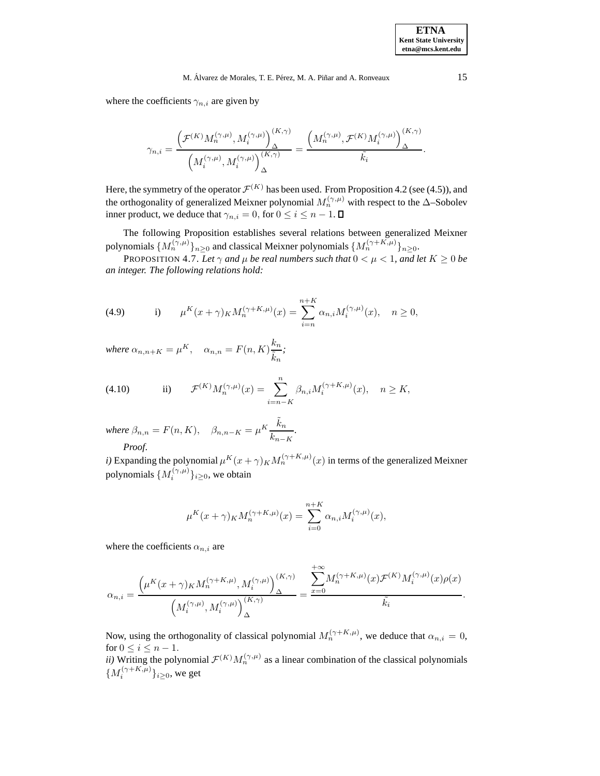where the coefficients  $\gamma_{n,i}$  are given by

$$
\gamma_{n,i} = \frac{\left(\mathcal{F}^{(K)}M_n^{(\gamma,\mu)}, M_i^{(\gamma,\mu)}\right)_\Delta^{(K,\gamma)}}{\left(M_i^{(\gamma,\mu)}, M_i^{(\gamma,\mu)}\right)_\Delta^{(K,\gamma)}} = \frac{\left(M_n^{(\gamma,\mu)}, \mathcal{F}^{(K)}M_i^{(\gamma,\mu)}\right)_\Delta^{(K,\gamma)}}{\tilde{k}_i}.
$$

Here, the symmetry of the operator  $\mathcal{F}^{(K)}$  has been used. From Proposition 4.2 (see (4.5)), and the orthogonality of generalized Meixner polynomial  $M_n^{(\gamma,\mu)}$  with respect to the ∆–Sobolev inner product, we deduce that  $\gamma_{n,i} = 0$ , for  $0 \le i \le n - 1$ .

The following Proposition establishes several relations between generalized Meixner polynomials  $\{M_n^{(\gamma,\mu)}\}_{n\geq 0}$  and classical Meixner polynomials  $\{M_n^{(\gamma+K,\mu)}\}_{n\geq 0}$ .

PROPOSITION 4.7. Let  $\gamma$  and  $\mu$  be real numbers such that  $0 < \mu < 1$ , and let  $K \geq 0$  be *an integer. The following relations hold:*

(4.9)   
 i) 
$$
\mu^K(x+\gamma)_K M_n^{(\gamma+K,\mu)}(x) = \sum_{i=n}^{n+K} \alpha_{n,i} M_i^{(\gamma,\mu)}(x), \quad n \ge 0,
$$

*where*  $\alpha_{n,n+K} = \mu^K$ ,  $\alpha_{n,n} = F(n,K) \frac{k_n}{\tilde{r}}$  $\tilde{k}_n$ *;*

(4.10) ii) 
$$
\mathcal{F}^{(K)}M_n^{(\gamma,\mu)}(x) = \sum_{i=n-K}^n \beta_{n,i} M_i^{(\gamma+K,\mu)}(x), \quad n \ge K,
$$

*where*  $\beta_{n,n} = F(n,K)$ ,  $\beta_{n,n-K} = \mu^K \frac{\tilde{k}_n}{h}$  $\frac{n_n}{k_{n-K}}$ . *Proof*.

*i*) Expanding the polynomial  $\mu^{K}(x + \gamma) K M_n^{(\gamma + K, \mu)}(x)$  in terms of the generalized Meixner polynomials  $\{M_i^{(\gamma,\mu)}\}_{i\geq 0}$ , we obtain

$$
\mu^{K}(x+\gamma)_{K}M_{n}^{(\gamma+K,\mu)}(x) = \sum_{i=0}^{n+K} \alpha_{n,i}M_{i}^{(\gamma,\mu)}(x),
$$

where the coefficients  $\alpha_{n,i}$  are

$$
\alpha_{n,i} = \frac{\left(\mu^K(x+\gamma)_K M_n^{(\gamma+K,\mu)}, M_i^{(\gamma,\mu)}\right)_\Delta^{(K,\gamma)}}{\left(M_i^{(\gamma,\mu)}, M_i^{(\gamma,\mu)}\right)_\Delta^{(K,\gamma)}} = \frac{\displaystyle\sum_{x=0}^{+\infty} \hskip -1mm M_n^{(\gamma+K,\mu)}(x) \mathcal{F}^{(K)} M_i^{(\gamma,\mu)}(x) \rho(x)}{\tilde{k_i}}.
$$

Now, using the orthogonality of classical polynomial  $M_n^{(\gamma+K,\mu)}$ , we deduce that  $\alpha_{n,i} = 0$ , for  $0 \le i \le n - 1$ .

*ii*) Writing the polynomial  $\mathcal{F}^{(K)}M_n^{(\gamma,\mu)}$  as a linear combination of the classical polynomials  $\{M_i^{(\gamma+K,\mu)}\}_{i\geq 0}$ , we get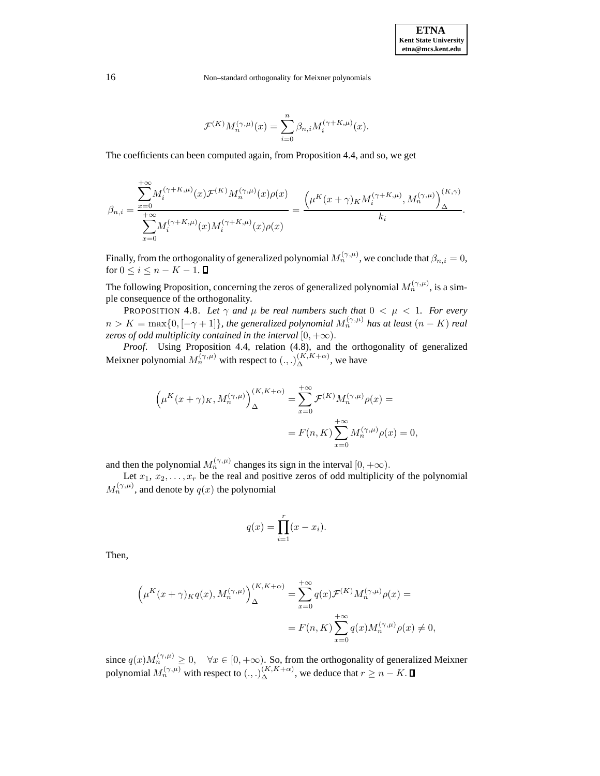$$
\mathcal{F}^{(K)} M_n^{(\gamma,\mu)}(x) = \sum_{i=0}^n \beta_{n,i} M_i^{(\gamma+K,\mu)}(x).
$$

The coefficients can been computed again, from Proposition 4.4, and so, we get

$$
\beta_{n,i} = \frac{\displaystyle\sum_{x=0}^{+\infty} \! M_i^{(\gamma+K,\mu)}(x) \mathcal{F}^{(K)} M_n^{(\gamma,\mu)}(x) \rho(x)}{\displaystyle\sum_{x=0}^{+\infty} \! M_i^{(\gamma+K,\mu)}(x) M_i^{(\gamma+K,\mu)}(x) \rho(x)} = \frac{\Big(\mu^K(x+\gamma)_K M_i^{(\gamma+K,\mu)}, M_n^{(\gamma,\mu)}\Big)^{(K,\gamma)}_\Delta}{k_i}.
$$

Finally, from the orthogonality of generalized polynomial  $M_n^{(\gamma,\mu)}$ , we conclude that  $\beta_{n,i} = 0$ , for  $0 \leq i \leq n - K - 1$ .

The following Proposition, concerning the zeros of generalized polynomial  $M_n^{(\gamma,\mu)}$ , is a simple consequence of the orthogonality.

PROPOSITION 4.8. Let  $\gamma$  and  $\mu$  be real numbers such that  $0 < \mu < 1$ . For every  $n>K = \max\{0, [-\gamma + 1]\}$ *, the generalized polynomial*  $M_n^{(\gamma,\mu)}$  has at least  $(n - K)$  *real zeros of odd multiplicity contained in the interval*  $[0, +\infty)$ .

*Proof*. Using Proposition 4.4, relation (4.8), and the orthogonality of generalized Meixner polynomial  $M_n^{(\gamma,\mu)}$  with respect to  $(.,.)_\Delta^{(K,K+\alpha)}$ , we have

$$
\left(\mu^{K}(x+\gamma)_{K}, M_{n}^{(\gamma,\mu)}\right)_{\Delta}^{(K,K+\alpha)} = \sum_{x=0}^{+\infty} \mathcal{F}^{(K)} M_{n}^{(\gamma,\mu)} \rho(x) =
$$

$$
= F(n,K) \sum_{x=0}^{+\infty} M_{n}^{(\gamma,\mu)} \rho(x) = 0,
$$

and then the polynomial  $M_n^{(\gamma,\mu)}$  changes its sign in the interval  $[0,+\infty)$ .

Let  $x_1, x_2, \ldots, x_r$  be the real and positive zeros of odd multiplicity of the polynomial  $M_n^{(\gamma,\mu)}$ , and denote by  $q(x)$  the polynomial

$$
q(x) = \prod_{i=1}^{r} (x - x_i).
$$

Then,

$$
\left(\mu^{K}(x+\gamma)_{K}q(x), M_{n}^{(\gamma,\mu)}\right)_{\Delta}^{(K,K+\alpha)} = \sum_{x=0}^{+\infty} q(x)\mathcal{F}^{(K)}M_{n}^{(\gamma,\mu)}\rho(x) =
$$
  

$$
= F(n,K)\sum_{x=0}^{+\infty} q(x)M_{n}^{(\gamma,\mu)}\rho(x) \neq 0,
$$

since  $q(x)M_n^{(\gamma,\mu)} \geq 0$ ,  $\forall x \in [0, +\infty)$ . So, from the orthogonality of generalized Meixner polynomial  $M_n^{(\gamma,\mu)}$  with respect to  $(.,.)_\Delta^{(K,K+\alpha)}$ , we deduce that  $r \ge n - K$ .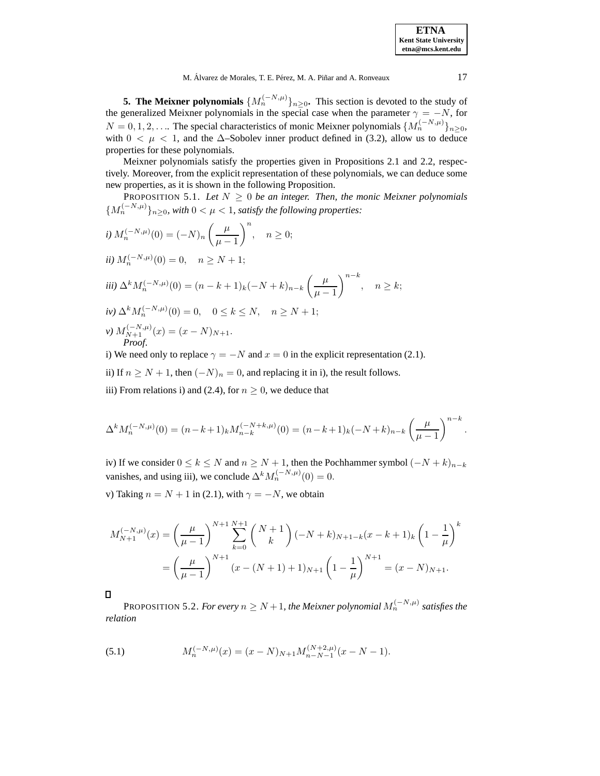**5. The Meixner polynomials**  $\{M_n^{(-N,\mu)}\}_{n\geq 0}$ . This section is devoted to the study of the generalized Meixner polynomials in the special case when the parameter  $\gamma = -N$ , for  $N = 0, 1, 2, \ldots$  The special characteristics of monic Meixner polynomials  $\{M_n^{(-N,\mu)}\}_{n>0}$ , with  $0 < \mu < 1$ , and the  $\Delta$ –Sobolev inner product defined in (3.2), allow us to deduce properties for these polynomials.

Meixner polynomials satisfy the properties given in Propositions 2.1 and 2.2, respectively. Moreover, from the explicit representation of these polynomials, we can deduce some new properties, as it is shown in the following Proposition.

PROPOSITION 5.1. Let  $N \geq 0$  be an integer. Then, the monic Meixner polynomials  ${M_n^{(-N,\mu)}}_{n>0}$ , with  $0 < \mu < 1$ , satisfy the following properties:

*i)* 
$$
M_n^{(-N,\mu)}(0) = (-N)_n \left(\frac{\mu}{\mu - 1}\right)^n
$$
,  $n \ge 0$ ;  
\n*ii)*  $M_n^{(-N,\mu)}(0) = 0$ ,  $n \ge N + 1$ ;  
\n*iii)*  $\Delta^k M_n^{(-N,\mu)}(0) = (n - k + 1)_k (-N + k)_{n-k} \left(\frac{\mu}{\mu - 1}\right)^{n-k}$ ,  $n \ge k$ ;  
\n*iv)*  $\Delta^k M_n^{(-N,\mu)}(0) = 0$ ,  $0 \le k \le N$ ,  $n \ge N + 1$ ;  
\n*v)*  $M_{N+1}^{(-N,\mu)}(x) = (x - N)_{N+1}$ .  
\n*Proof.*  
\n*i)* We need only to replace  $\alpha = -N$  and  $x = 0$  in the explicit representation (

i) We need only to replace  $\gamma = -N$  and  $x = 0$  in the explicit representation (2.1).

ii) If  $n \ge N + 1$ , then  $(-N)_n = 0$ , and replacing it in i), the result follows.

iii) From relations i) and (2.4), for  $n > 0$ , we deduce that

$$
\Delta^k M_n^{(-N,\mu)}(0) = (n-k+1)_k M_{n-k}^{(-N+k,\mu)}(0) = (n-k+1)_k (-N+k)_{n-k} \left(\frac{\mu}{\mu-1}\right)^{n-k}.
$$

iv) If we consider  $0 \le k \le N$  and  $n \ge N + 1$ , then the Pochhammer symbol  $(-N + k)_{n-k}$ vanishes, and using iii), we conclude  $\Delta^k M_n^{(-N,\mu)}(0) = 0$ .

v) Taking  $n = N + 1$  in (2.1), with  $\gamma = -N$ , we obtain

$$
M_{N+1}^{(-N,\mu)}(x) = \left(\frac{\mu}{\mu-1}\right)^{N+1} \sum_{k=0}^{N+1} {N+1 \choose k} (-N+k)_{N+1-k} (x-k+1)_k \left(1 - \frac{1}{\mu}\right)^k
$$
  
= 
$$
\left(\frac{\mu}{\mu-1}\right)^{N+1} (x - (N+1) + 1)_{N+1} \left(1 - \frac{1}{\mu}\right)^{N+1} = (x - N)_{N+1}.
$$

 $\Box$ 

PROPOSITION 5.2. *For every*  $n \geq N + 1$ *, the Meixner polynomial*  $M_n^{(-N,\mu)}$  *satisfies the relation*

(5.1) 
$$
M_n^{(-N,\mu)}(x) = (x - N)_{N+1} M_{n-N-1}^{(N+2,\mu)}(x - N - 1).
$$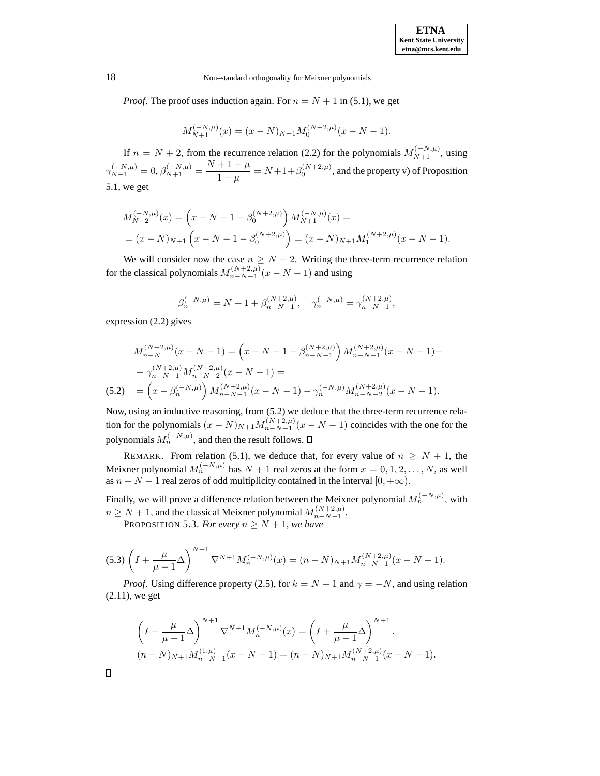*Proof.* The proof uses induction again. For  $n = N + 1$  in (5.1), we get

$$
M_{N+1}^{(-N,\mu)}(x) = (x - N)_{N+1} M_0^{(N+2,\mu)}(x - N - 1).
$$

If  $n = N + 2$ , from the recurrence relation (2.2) for the polynomials  $M_{N+1}^{(-N,\mu)}$ , using  $\gamma_{N+1}^{(-N,\mu)} = 0, \beta_{N+1}^{(-N,\mu)} = \frac{N+1+\mu}{1-\mu} = N+1+\beta_0^{(N+2,\mu)}$ , and the property v) of Proposition 5.1, we get

$$
\begin{aligned} M_{N+2}^{(-N,\mu)}(x) &= \left(x - N - 1 - \beta_0^{(N+2,\mu)}\right) M_{N+1}^{(-N,\mu)}(x) = \\ &= (x - N)_{N+1} \left(x - N - 1 - \beta_0^{(N+2,\mu)}\right) = (x - N)_{N+1} M_1^{(N+2,\mu)}(x - N - 1). \end{aligned}
$$

We will consider now the case  $n \geq N + 2$ . Writing the three-term recurrence relation for the classical polynomials  $M_{n-N-1}^{(N+2,\mu)}(x-N-1)$  and using

$$
\beta_n^{(-N,\mu)} = N + 1 + \beta_{n-N-1}^{(N+2,\mu)}, \quad \gamma_n^{(-N,\mu)} = \gamma_{n-N-1}^{(N+2,\mu)},
$$

expression (2.2) gives

$$
M_{n-N}^{(N+2,\mu)}(x - N - 1) = \left(x - N - 1 - \beta_{n-N-1}^{(N+2,\mu)}\right) M_{n-N-1}^{(N+2,\mu)}(x - N - 1) -
$$
  

$$
- \gamma_{n-N-1}^{(N+2,\mu)} M_{n-N-2}^{(N+2,\mu)}(x - N - 1) =
$$
  
(5.2) 
$$
= \left(x - \beta_n^{(-N,\mu)}\right) M_{n-N-1}^{(N+2,\mu)}(x - N - 1) - \gamma_n^{(-N,\mu)} M_{n-N-2}^{(N+2,\mu)}(x - N - 1).
$$

Now, using an inductive reasoning, from (5.2) we deduce that the three-term recurrence relation for the polynomials  $(x - N)_{N+1} M_{n-N-1}^{(N+2,\mu)}(x - N - 1)$  coincides with the one for the polynomials  $M_n^{(-N,\mu)}$ , and then the result follows.  $\Box$ 

REMARK. From relation (5.1), we deduce that, for every value of  $n \geq N + 1$ , the Meixner polynomial  $M_n^{(-N,\mu)}$  has  $N+1$  real zeros at the form  $x = 0, 1, 2, ..., N$ , as well as  $n - N - 1$  real zeros of odd multiplicity contained in the interval  $[0, +\infty)$ .

Finally, we will prove a difference relation between the Meixner polynomial  $M_n^{(-N,\mu)}$ , with  $n \geq N+1$ , and the classical Meixner polynomial  $M_{n-N-1}^{(N+2,\mu)}$ .

PROPOSITION 5.3. For every  $n \ge N + 1$ , we have

$$
(5.3)\left(I + \frac{\mu}{\mu - 1}\Delta\right)^{N+1} \nabla^{N+1} M_n^{(-N,\mu)}(x) = (n - N)_{N+1} M_{n - N - 1}^{(N+2,\mu)}(x - N - 1).
$$

*Proof.* Using difference property (2.5), for  $k = N + 1$  and  $\gamma = -N$ , and using relation (2.11), we get

$$
\left(I + \frac{\mu}{\mu - 1}\Delta\right)^{N+1} \nabla^{N+1} M_n^{(-N,\mu)}(x) = \left(I + \frac{\mu}{\mu - 1}\Delta\right)^{N+1}.
$$
  
\n
$$
(n - N)_{N+1} M_{n-N-1}^{(1,\mu)}(x - N - 1) = (n - N)_{N+1} M_{n-N-1}^{(N+2,\mu)}(x - N - 1).
$$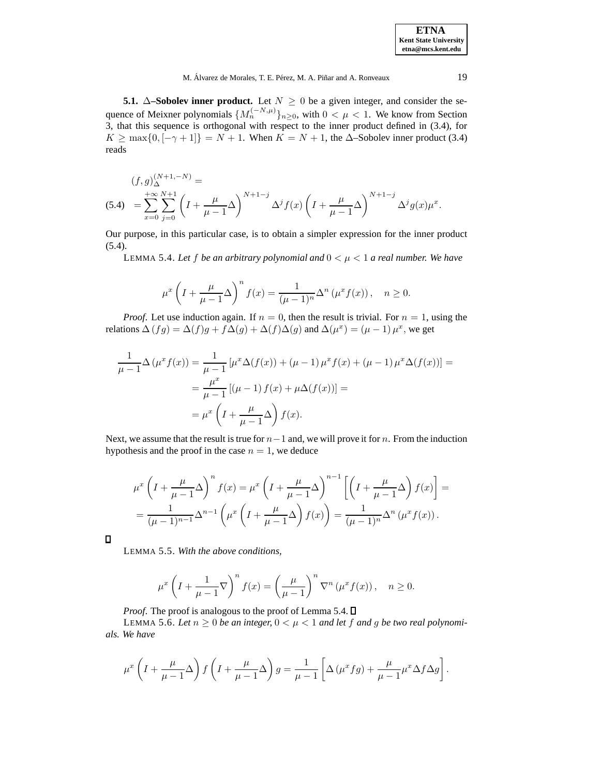**5.1.** ∆**–Sobolev inner product.** Let  $N \geq 0$  be a given integer, and consider the sequence of Meixner polynomials  $\{M_n^{(-N,\mu)}\}_{n>0}$ , with  $0 < \mu < 1$ . We know from Section 3, that this sequence is orthogonal with respect to the inner product defined in (3.4), for  $K \ge \max\{0, [-\gamma + 1]\} = N + 1$ . When  $K = N + 1$ , the  $\Delta$ -Sobolev inner product (3.4) reads

$$
(f,g)_{\Delta}^{(N+1,-N)} =
$$
  
(5.4) 
$$
= \sum_{x=0}^{+\infty} \sum_{j=0}^{N+1} \left( I + \frac{\mu}{\mu - 1} \Delta \right)^{N+1-j} \Delta^j f(x) \left( I + \frac{\mu}{\mu - 1} \Delta \right)^{N+1-j} \Delta^j g(x) \mu^x.
$$

Our purpose, in this particular case, is to obtain a simpler expression for the inner product (5.4).

LEMMA 5.4. Let f be an arbitrary polynomial and  $0 < \mu < 1$  a real number. We have

$$
\mu^x \left( I + \frac{\mu}{\mu - 1} \Delta \right)^n f(x) = \frac{1}{(\mu - 1)^n} \Delta^n \left( \mu^x f(x) \right), \quad n \ge 0.
$$

*Proof.* Let use induction again. If  $n = 0$ , then the result is trivial. For  $n = 1$ , using the relations  $\Delta (fg) = \Delta (f)g + f\Delta (g) + \Delta (f)\Delta (g)$  and  $\Delta (\mu^x) = (\mu - 1) \mu^x$ , we get

$$
\frac{1}{\mu - 1} \Delta (\mu^x f(x)) = \frac{1}{\mu - 1} [\mu^x \Delta (f(x)) + (\mu - 1) \mu^x f(x) + (\mu - 1) \mu^x \Delta (f(x))] =
$$
  

$$
= \frac{\mu^x}{\mu - 1} [(\mu - 1) f(x) + \mu \Delta (f(x))] =
$$
  

$$
= \mu^x \left( I + \frac{\mu}{\mu - 1} \Delta \right) f(x).
$$

Next, we assume that the result is true for  $n-1$  and, we will prove it for n. From the induction hypothesis and the proof in the case  $n = 1$ , we deduce

$$
\mu^x \left( I + \frac{\mu}{\mu - 1} \Delta \right)^n f(x) = \mu^x \left( I + \frac{\mu}{\mu - 1} \Delta \right)^{n-1} \left[ \left( I + \frac{\mu}{\mu - 1} \Delta \right) f(x) \right] =
$$
  
= 
$$
\frac{1}{(\mu - 1)^{n-1}} \Delta^{n-1} \left( \mu^x \left( I + \frac{\mu}{\mu - 1} \Delta \right) f(x) \right) = \frac{1}{(\mu - 1)^n} \Delta^n (\mu^x f(x)).
$$

 $\Box$ 

LEMMA 5.5. *With the above conditions,*

$$
\mu^x \left( I + \frac{1}{\mu - 1} \nabla \right)^n f(x) = \left( \frac{\mu}{\mu - 1} \right)^n \nabla^n \left( \mu^x f(x) \right), \quad n \ge 0.
$$

*Proof.* The proof is analogous to the proof of Lemma 5.4.  $\Box$ 

LEMMA 5.6. Let  $n \geq 0$  be an integer,  $0 \leq \mu \leq 1$  and let f and g be two real polynomi*als. We have*

$$
\mu^x \left( I + \frac{\mu}{\mu - 1} \Delta \right) f \left( I + \frac{\mu}{\mu - 1} \Delta \right) g = \frac{1}{\mu - 1} \left[ \Delta \left( \mu^x f g \right) + \frac{\mu}{\mu - 1} \mu^x \Delta f \Delta g \right].
$$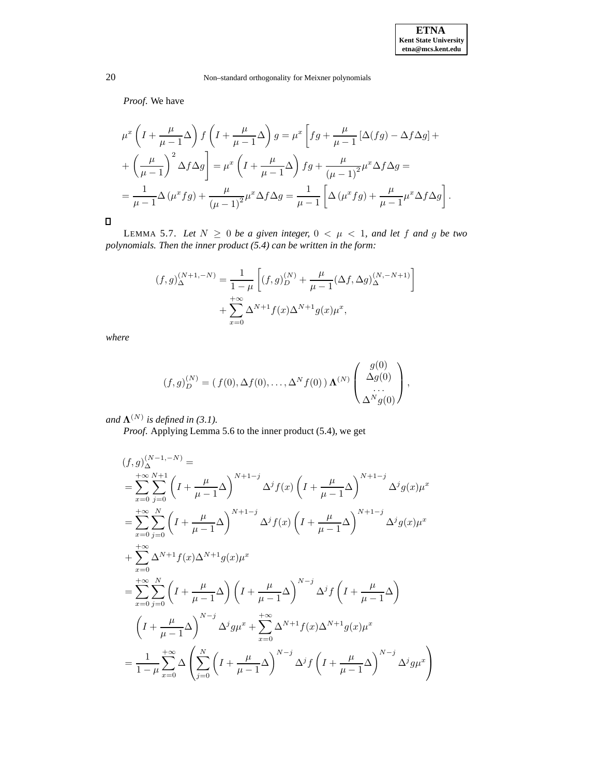*Proof*. We have

$$
\mu^x \left( I + \frac{\mu}{\mu - 1} \Delta \right) f \left( I + \frac{\mu}{\mu - 1} \Delta \right) g = \mu^x \left[ fg + \frac{\mu}{\mu - 1} \left[ \Delta (fg) - \Delta f \Delta g \right] + \left( \frac{\mu}{\mu - 1} \right)^2 \Delta f \Delta g \right] = \mu^x \left( I + \frac{\mu}{\mu - 1} \Delta \right) fg + \frac{\mu}{(\mu - 1)^2} \mu^x \Delta f \Delta g =
$$
  
= 
$$
\frac{1}{\mu - 1} \Delta (\mu^x fg) + \frac{\mu}{(\mu - 1)^2} \mu^x \Delta f \Delta g = \frac{1}{\mu - 1} \left[ \Delta (\mu^x fg) + \frac{\mu}{\mu - 1} \mu^x \Delta f \Delta g \right].
$$

 $\Box$ 

LEMMA 5.7. Let  $N \geq 0$  be a given integer,  $0 < \mu < 1$ , and let f and g be two *polynomials. Then the inner product (5.4) can be written in the form:*

$$
(f,g)_{\Delta}^{(N+1,-N)} = \frac{1}{1-\mu} \left[ (f,g)_{D}^{(N)} + \frac{\mu}{\mu-1} (\Delta f, \Delta g)_{\Delta}^{(N,-N+1)} \right] + \sum_{x=0}^{+\infty} \Delta^{N+1} f(x) \Delta^{N+1} g(x) \mu^{x},
$$

*where*

$$
(f,g)_D^{(N)} = (f(0), \Delta f(0), \dots, \Delta^N f(0)) \Lambda^{(N)} \begin{pmatrix} g(0) \\ \Delta g(0) \\ \dots \\ \Delta^N g(0) \end{pmatrix},
$$

*and*  $\Lambda^{(N)}$  *is defined in* (3.1).

*Proof*. Applying Lemma 5.6 to the inner product (5.4), we get

$$
(f,g)_{\Delta}^{(N-1,-N)} =
$$
\n
$$
= \sum_{x=0}^{+\infty} \sum_{j=0}^{N+1} \left( I + \frac{\mu}{\mu - 1} \Delta \right)^{N+1-j} \Delta^j f(x) \left( I + \frac{\mu}{\mu - 1} \Delta \right)^{N+1-j} \Delta^j g(x) \mu^x
$$
\n
$$
= \sum_{x=0}^{+\infty} \sum_{j=0}^N \left( I + \frac{\mu}{\mu - 1} \Delta \right)^{N+1-j} \Delta^j f(x) \left( I + \frac{\mu}{\mu - 1} \Delta \right)^{N+1-j} \Delta^j g(x) \mu^x
$$
\n
$$
+ \sum_{x=0}^{+\infty} \Delta^{N+1} f(x) \Delta^{N+1} g(x) \mu^x
$$
\n
$$
= \sum_{x=0}^{+\infty} \sum_{j=0}^N \left( I + \frac{\mu}{\mu - 1} \Delta \right) \left( I + \frac{\mu}{\mu - 1} \Delta \right)^{N-j} \Delta^j f \left( I + \frac{\mu}{\mu - 1} \Delta \right)
$$
\n
$$
\left( I + \frac{\mu}{\mu - 1} \Delta \right)^{N-j} \Delta^j g \mu^x + \sum_{x=0}^{+\infty} \Delta^{N+1} f(x) \Delta^{N+1} g(x) \mu^x
$$
\n
$$
= \frac{1}{1 - \mu} \sum_{x=0}^{+\infty} \Delta \left( \sum_{j=0}^N \left( I + \frac{\mu}{\mu - 1} \Delta \right)^{N-j} \Delta^j f \left( I + \frac{\mu}{\mu - 1} \Delta \right)^{N-j} \Delta^j g \mu^x \right)
$$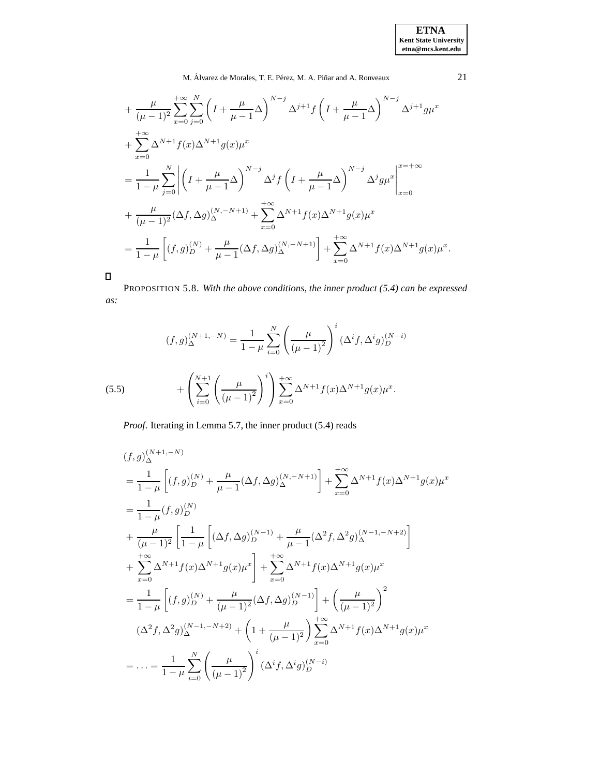$$
+\frac{\mu}{(\mu-1)^2} \sum_{x=0}^{+\infty} \sum_{j=0}^{N} \left( I + \frac{\mu}{\mu-1} \Delta \right)^{N-j} \Delta^{j+1} f \left( I + \frac{\mu}{\mu-1} \Delta \right)^{N-j} \Delta^{j+1} g \mu^{x} + \sum_{x=0}^{+\infty} \Delta^{N+1} f(x) \Delta^{N+1} g(x) \mu^{x} = \frac{1}{1-\mu} \sum_{j=0}^{N} \left| \left( I + \frac{\mu}{\mu-1} \Delta \right)^{N-j} \Delta^{j} f \left( I + \frac{\mu}{\mu-1} \Delta \right)^{N-j} \Delta^{j} g \mu^{x} \right|_{x=0}^{x=\pm \infty} + \frac{\mu}{(\mu-1)^2} (\Delta f, \Delta g)_{\Delta}^{(N,-N+1)} + \sum_{x=0}^{+\infty} \Delta^{N+1} f(x) \Delta^{N+1} g(x) \mu^{x} = \frac{1}{1-\mu} \left[ (f, g)_{D}^{(N)} + \frac{\mu}{\mu-1} (\Delta f, \Delta g)_{\Delta}^{(N,-N+1)} \right] + \sum_{x=0}^{+\infty} \Delta^{N+1} f(x) \Delta^{N+1} g(x) \mu^{x}.
$$

 $\Box$ 

PROPOSITION 5.8. *With the above conditions, the inner product (5.4) can be expressed as:*

(5.5) 
$$
(f,g)_{\Delta}^{(N+1,-N)} = \frac{1}{1-\mu} \sum_{i=0}^{N} \left(\frac{\mu}{(\mu-1)^2}\right)^i (\Delta^i f, \Delta^i g)_{D}^{(N-i)}
$$

$$
+ \left(\sum_{i=0}^{N+1} \left(\frac{\mu}{(\mu-1)^2}\right)^i\right) \sum_{x=0}^{+\infty} \Delta^{N+1} f(x) \Delta^{N+1} g(x) \mu^x.
$$

*Proof*. Iterating in Lemma 5.7, the inner product (5.4) reads

$$
(f,g)_{\Delta}^{(N+1,-N)}
$$
\n
$$
= \frac{1}{1-\mu} \left[ (f,g)_{D}^{(N)} + \frac{\mu}{\mu-1} (\Delta f, \Delta g)_{\Delta}^{(N,-N+1)} \right] + \sum_{x=0}^{+\infty} \Delta^{N+1} f(x) \Delta^{N+1} g(x) \mu^{x}
$$
\n
$$
= \frac{1}{1-\mu} (f,g)_{D}^{(N)}
$$
\n
$$
+ \frac{\mu}{(\mu-1)^{2}} \left[ \frac{1}{1-\mu} \left[ (\Delta f, \Delta g)_{D}^{(N-1)} + \frac{\mu}{\mu-1} (\Delta^{2} f, \Delta^{2} g)_{\Delta}^{(N-1,-N+2)} \right] + \sum_{x=0}^{+\infty} \Delta^{N+1} f(x) \Delta^{N+1} g(x) \mu^{x} \right]
$$
\n
$$
= \frac{1}{1-\mu} \left[ (f,g)_{D}^{(N)} + \frac{\mu}{(\mu-1)^{2}} (\Delta f, \Delta g)_{D}^{(N-1)} \right] + \left( \frac{\mu}{(\mu-1)^{2}} \right)^{2}
$$
\n
$$
(\Delta^{2} f, \Delta^{2} g)_{\Delta}^{(N-1,-N+2)} + \left( 1 + \frac{\mu}{(\mu-1)^{2}} \right) \sum_{x=0}^{+\infty} \Delta^{N+1} f(x) \Delta^{N+1} g(x) \mu^{x}
$$
\n
$$
= \dots = \frac{1}{1-\mu} \sum_{i=0}^{N} \left( \frac{\mu}{(\mu-1)^{2}} \right)^{i} (\Delta^{i} f, \Delta^{i} g)_{D}^{(N-i)}
$$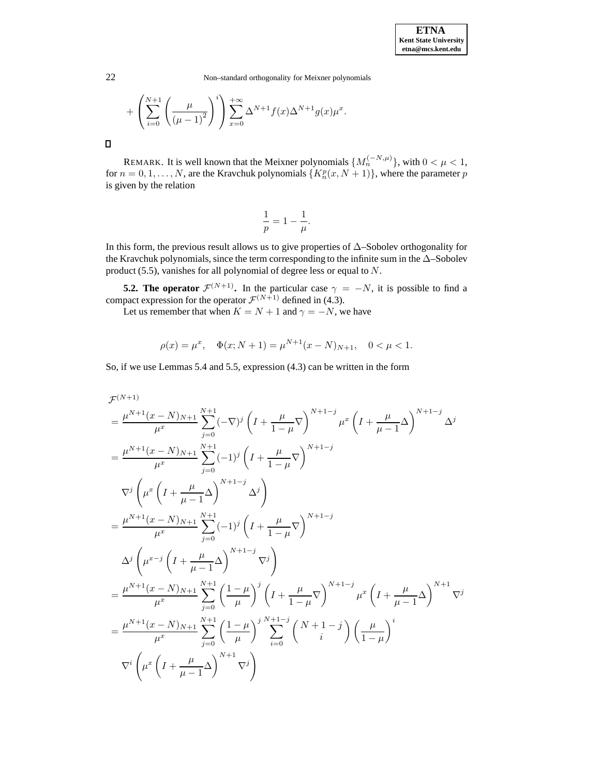+ 
$$
\left(\sum_{i=0}^{N+1} \left(\frac{\mu}{(\mu-1)^2}\right)^i\right) \sum_{x=0}^{+\infty} \Delta^{N+1} f(x) \Delta^{N+1} g(x) \mu^x
$$
.

 $\Box$ 

REMARK. It is well known that the Meixner polynomials  $\{M_n^{(-N,\mu)}\}$ , with  $0 < \mu < 1$ , for  $n = 0, 1, ..., N$ , are the Kravchuk polynomials  $\{K_n^p(x, N+1)\}\$ , where the parameter p is given by the relation

$$
\frac{1}{p} = 1 - \frac{1}{\mu}.
$$

In this form, the previous result allows us to give properties of ∆–Sobolev orthogonality for the Kravchuk polynomials, since the term corresponding to the infinite sum in the ∆–Sobolev product (5.5), vanishes for all polynomial of degree less or equal to N.

**5.2. The operator**  $\mathcal{F}^{(N+1)}$ . In the particular case  $\gamma = -N$ , it is possible to find a compact expression for the operator  $\mathcal{F}^{(N+1)}$  defined in (4.3).

Let us remember that when  $K = N + 1$  and  $\gamma = -N$ , we have

$$
\rho(x) = \mu^x, \quad \Phi(x; N+1) = \mu^{N+1}(x - N)_{N+1}, \quad 0 < \mu < 1.
$$

So, if we use Lemmas 5.4 and 5.5, expression (4.3) can be written in the form

$$
\mathcal{F}^{(N+1)} = \frac{\mu^{N+1}(x - N)_{N+1}}{\mu^x} \sum_{j=0}^{N+1} (-\nabla)^j \left( I + \frac{\mu}{1-\mu} \nabla \right)^{N+1-j} \mu^x \left( I + \frac{\mu}{\mu-1} \Delta \right)^{N+1-j} \Delta^j
$$
\n
$$
= \frac{\mu^{N+1}(x - N)_{N+1}}{\mu^x} \sum_{j=0}^{N+1} (-1)^j \left( I + \frac{\mu}{1-\mu} \nabla \right)^{N+1-j}
$$
\n
$$
\nabla^j \left( \mu^x \left( I + \frac{\mu}{\mu-1} \Delta \right)^{N+1-j} \Delta^j \right)
$$
\n
$$
= \frac{\mu^{N+1}(x - N)_{N+1}}{\mu^x} \sum_{j=0}^{N+1} (-1)^j \left( I + \frac{\mu}{1-\mu} \nabla \right)^{N+1-j}
$$
\n
$$
\Delta^j \left( \mu^{x-j} \left( I + \frac{\mu}{\mu-1} \Delta \right)^{N+1-j} \nabla^j \right)
$$
\n
$$
= \frac{\mu^{N+1}(x - N)_{N+1}}{\mu^x} \sum_{j=0}^{N+1} \left( \frac{1-\mu}{\mu} \right)^j \left( I + \frac{\mu}{1-\mu} \nabla \right)^{N+1-j} \mu^x \left( I + \frac{\mu}{\mu-1} \Delta \right)^{N+1} \nabla^j
$$
\n
$$
= \frac{\mu^{N+1}(x - N)_{N+1}}{\mu^x} \sum_{j=0}^{N+1} \left( \frac{1-\mu}{\mu} \right)^j \sum_{i=0}^{N+1-j} \left( \frac{N+1-j}{i} \right) \left( \frac{\mu}{1-\mu} \right)^i
$$
\n
$$
\nabla^i \left( \mu^x \left( I + \frac{\mu}{\mu-1} \Delta \right)^{N+1} \nabla^j \right)
$$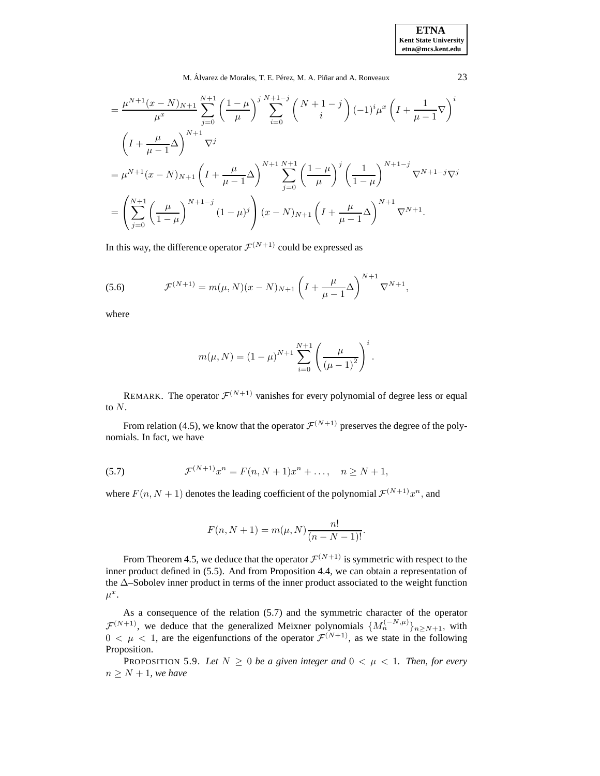**ETNA Kent State University etna@mcs.kent.edu**

M. Álvarez de Morales, T. E. Pérez, M. A. Piñar and A. Ronveaux 23

$$
= \frac{\mu^{N+1}(x-N)_{N+1}}{\mu^x} \sum_{j=0}^{N+1} \left(\frac{1-\mu}{\mu}\right)^j \sum_{i=0}^{N+1-j} {N+1-j \choose i} (-1)^i \mu^x \left(I + \frac{1}{\mu-1} \nabla\right)^i
$$
  

$$
\left(I + \frac{\mu}{\mu-1} \Delta\right)^{N+1} \nabla^j
$$
  

$$
= \mu^{N+1}(x-N)_{N+1} \left(I + \frac{\mu}{\mu-1} \Delta\right)^{N+1} \sum_{j=0}^{N+1} \left(\frac{1-\mu}{\mu}\right)^j \left(\frac{1}{1-\mu}\right)^{N+1-j} \nabla^{N+1-j} \nabla^j
$$
  

$$
= \left(\sum_{j=0}^{N+1} \left(\frac{\mu}{1-\mu}\right)^{N+1-j} (1-\mu)^j\right) (x-N)_{N+1} \left(I + \frac{\mu}{\mu-1} \Delta\right)^{N+1} \nabla^{N+1}.
$$

In this way, the difference operator  $\mathcal{F}^{(N+1)}$  could be expressed as

(5.6) 
$$
\mathcal{F}^{(N+1)} = m(\mu, N)(x - N)_{N+1} \left( I + \frac{\mu}{\mu - 1} \Delta \right)^{N+1} \nabla^{N+1},
$$

where

$$
m(\mu, N) = (1 - \mu)^{N+1} \sum_{i=0}^{N+1} \left( \frac{\mu}{(\mu - 1)^2} \right)^i.
$$

REMARK. The operator  $\mathcal{F}^{(N+1)}$  vanishes for every polynomial of degree less or equal to  $N$ .

From relation (4.5), we know that the operator  $\mathcal{F}^{(N+1)}$  preserves the degree of the polynomials. In fact, we have

(5.7) 
$$
\mathcal{F}^{(N+1)}x^n = F(n, N+1)x^n + \dots, \quad n \ge N+1,
$$

where  $F(n, N + 1)$  denotes the leading coefficient of the polynomial  $\mathcal{F}^{(N+1)}x^n$ , and

$$
F(n, N + 1) = m(\mu, N) \frac{n!}{(n - N - 1)!}.
$$

From Theorem 4.5, we deduce that the operator  $\mathcal{F}^{(N+1)}$  is symmetric with respect to the inner product defined in (5.5). And from Proposition 4.4, we can obtain a representation of the ∆–Sobolev inner product in terms of the inner product associated to the weight function  $\mu^x$ .

As a consequence of the relation (5.7) and the symmetric character of the operator  $\mathcal{F}^{(N+1)}$ , we deduce that the generalized Meixner polynomials  $\{M_n^{(-N,\mu)}\}_{n \ge N+1}$ , with  $0 < \mu < 1$ , are the eigenfunctions of the operator  $\mathcal{F}^{(N+1)}$ , as we state in the following Proposition.

PROPOSITION 5.9. Let  $N \geq 0$  be a given integer and  $0 < \mu < 1$ . Then, for every  $n \geq N + 1$ *, we have*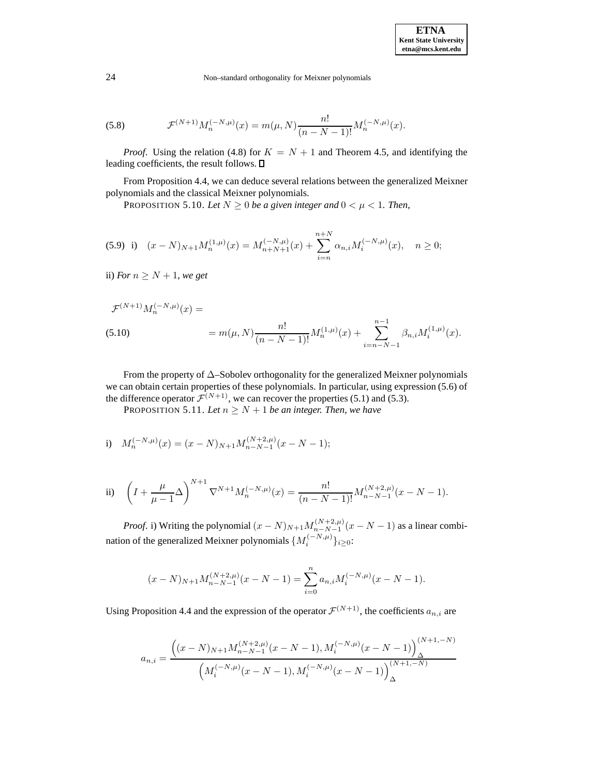(5.8) 
$$
\mathcal{F}^{(N+1)} M_n^{(-N,\mu)}(x) = m(\mu, N) \frac{n!}{(n - N - 1)!} M_n^{(-N,\mu)}(x).
$$

*Proof.* Using the relation (4.8) for  $K = N + 1$  and Theorem 4.5, and identifying the leading coefficients, the result follows.  $\square$ 

From Proposition 4.4, we can deduce several relations between the generalized Meixner polynomials and the classical Meixner polynomials.

PROPOSITION 5.10. Let  $N \geq 0$  be a given integer and  $0 < \mu < 1$ . Then,

$$
(5.9) i) (x - N)_{N+1} M_n^{(1,\mu)}(x) = M_{n+N+1}^{(-N,\mu)}(x) + \sum_{i=n}^{n+N} \alpha_{n,i} M_i^{(-N,\mu)}(x), \quad n \ge 0;
$$

ii) *For*  $n \geq N + 1$ *, we get* 

$$
\mathcal{F}^{(N+1)} M_n^{(-N,\mu)}(x) =
$$
  
(5.10) 
$$
= m(\mu, N) \frac{n!}{(n - N - 1)!} M_n^{(1,\mu)}(x) + \sum_{i=n-N-1}^{n-1} \beta_{n,i} M_i^{(1,\mu)}(x).
$$

From the property of  $\Delta$ –Sobolev orthogonality for the generalized Meixner polynomials we can obtain certain properties of these polynomials. In particular, using expression (5.6) of the difference operator  $\mathcal{F}^{(N+1)}$ , we can recover the properties (5.1) and (5.3).

PROPOSITION 5.11. Let  $n \geq N + 1$  be an integer. Then, we have

i) 
$$
M_n^{(-N,\mu)}(x) = (x - N)_{N+1} M_{n-N-1}^{(N+2,\mu)}(x - N - 1);
$$

ii) 
$$
\left(I + \frac{\mu}{\mu - 1} \Delta\right)^{N+1} \nabla^{N+1} M_n^{(-N,\mu)}(x) = \frac{n!}{(n - N - 1)!} M_{n - N - 1}^{(N+2,\mu)}(x - N - 1).
$$

*Proof.* i) Writing the polynomial  $(x - N)_{N+1} M_{n-N-1}^{(N+2,\mu)} (x - N - 1)$  as a linear combination of the generalized Meixner polynomials  $\{M_i^{(-N,\mu)}\}_{i\geq 0}$ :

$$
(x - N)_{N+1} M_{n-N-1}^{(N+2,\mu)}(x - N - 1) = \sum_{i=0}^{n} a_{n,i} M_i^{(-N,\mu)}(x - N - 1).
$$

Using Proposition 4.4 and the expression of the operator  $\mathcal{F}^{(N+1)}$ , the coefficients  $a_{n,i}$  are

$$
a_{n,i} = \frac{\left( (x - N)_{N+1} M_{n-N-1}^{(N+2,\mu)} (x - N - 1), M_i^{(-N,\mu)} (x - N - 1) \right)_{\Delta}^{(N+1,-N)}}{\left( M_i^{(-N,\mu)} (x - N - 1), M_i^{(-N,\mu)} (x - N - 1) \right)_{\Delta}^{(N+1,-N)}}
$$